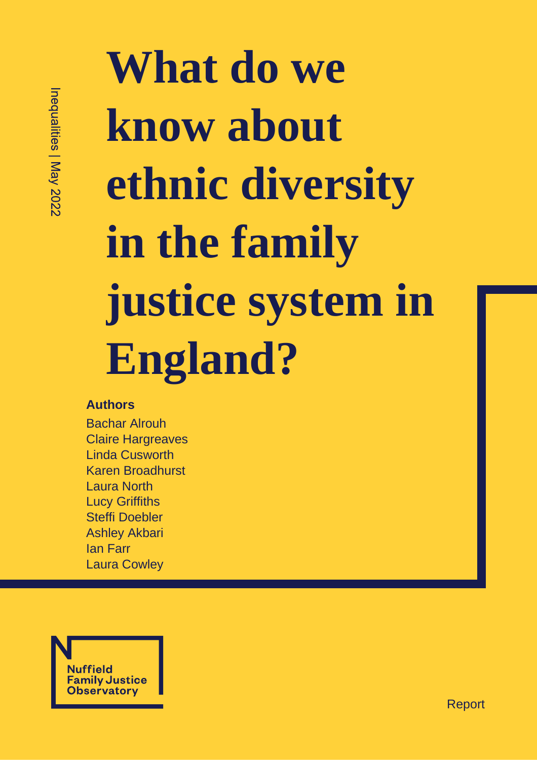# **What do we know about ethnic diversity in the family justice system in England?**

#### **Authors**

Bachar Alrouh Claire Hargreaves Linda Cusworth Karen Broadhurst Laura North Lucy Griffiths Steffi Doebler Ashley Akbari Ian Farr Laura Cowley



Report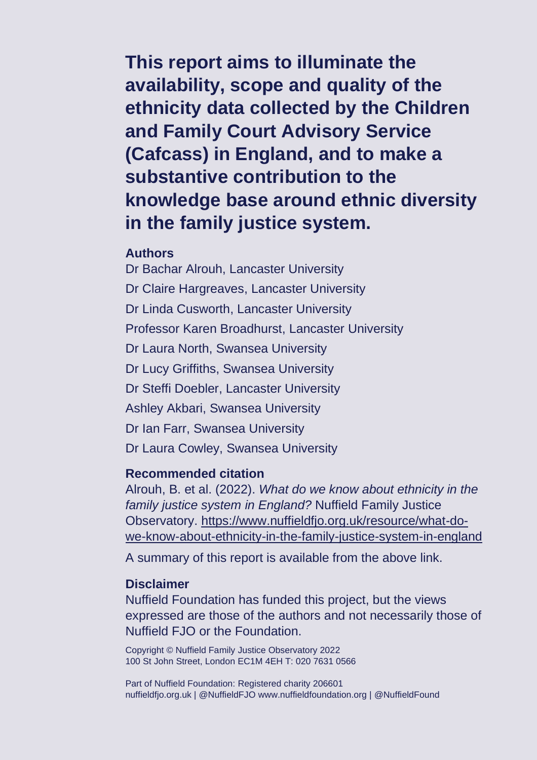**This report aims to illuminate the availability, scope and quality of the ethnicity data collected by the Children and Family Court Advisory Service (Cafcass) in England, and to make a substantive contribution to the knowledge base around ethnic diversity in the family justice system.**

#### **Authors**

Dr Bachar Alrouh, Lancaster University Dr Claire Hargreaves, Lancaster University Dr Linda Cusworth, Lancaster University Professor Karen Broadhurst, Lancaster University Dr Laura North, Swansea University Dr Lucy Griffiths, Swansea University Dr Steffi Doebler, Lancaster University Ashley Akbari, Swansea University Dr Ian Farr, Swansea University Dr Laura Cowley, Swansea University

#### **Recommended citation**

Alrouh, B. et al. (2022). *What do we know about ethnicity in the family justice system in England?* Nuffield Family Justice Observatory. [https://www.nuffieldfjo.org.uk/resource/what-do](https://www.nuffieldfjo.org.uk/resource/what-do-we-know-about-ethnicity-in-the-family-justice-system-in-england)[we-know-about-ethnicity-in-the-family-justice-system-in-england](https://www.nuffieldfjo.org.uk/resource/what-do-we-know-about-ethnicity-in-the-family-justice-system-in-england)

A summary of this report is available from the above link.

#### **Disclaimer**

Nuffield Foundation has funded this project, but the views expressed are those of the authors and not necessarily those of Nuffield FJO or the Foundation.

Copyright © Nuffield Family Justice Observatory 2022 100 St John Street, London EC1M 4EH T: 020 7631 0566

Part of Nuffield Foundation: Registered charity 206601 nuffieldfjo.org.uk | @NuffieldFJO www.nuffieldfoundation.org | @NuffieldFound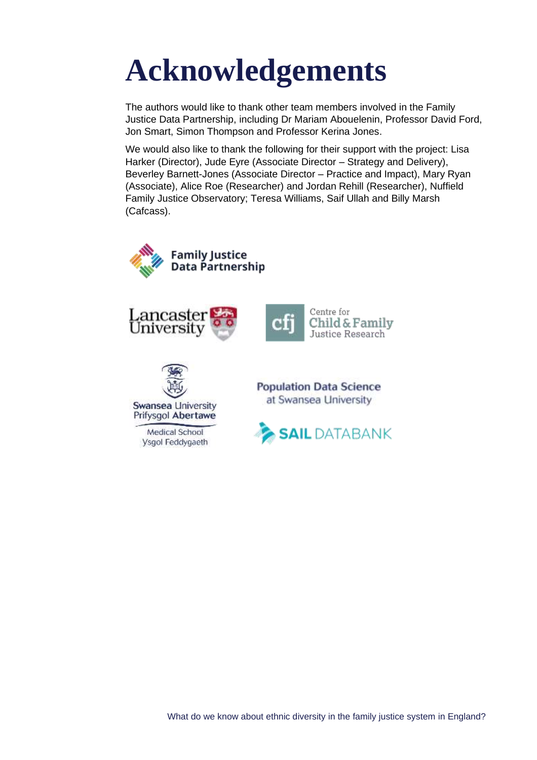## **Acknowledgements**

The authors would like to thank other team members involved in the Family Justice Data Partnership, including Dr Mariam Abouelenin, Professor David Ford, Jon Smart, Simon Thompson and Professor Kerina Jones.

We would also like to thank the following for their support with the project: Lisa Harker (Director), Jude Eyre (Associate Director – Strategy and Delivery), Beverley Barnett-Jones (Associate Director – Practice and Impact), Mary Ryan (Associate), Alice Roe (Researcher) and Jordan Rehill (Researcher), Nuffield Family Justice Observatory; Teresa Williams, Saif Ullah and Billy Marsh (Cafcass).







Medical School **Ysgol Feddygaeth**  **Population Data Science** at Swansea University

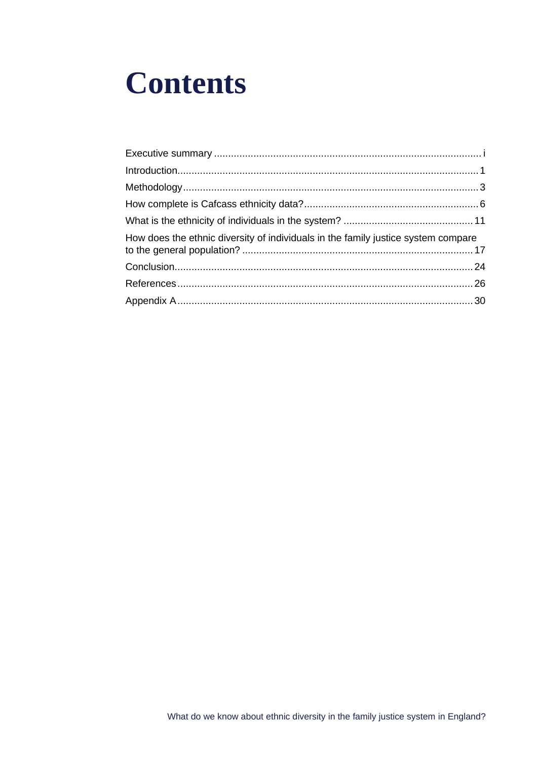## **Contents**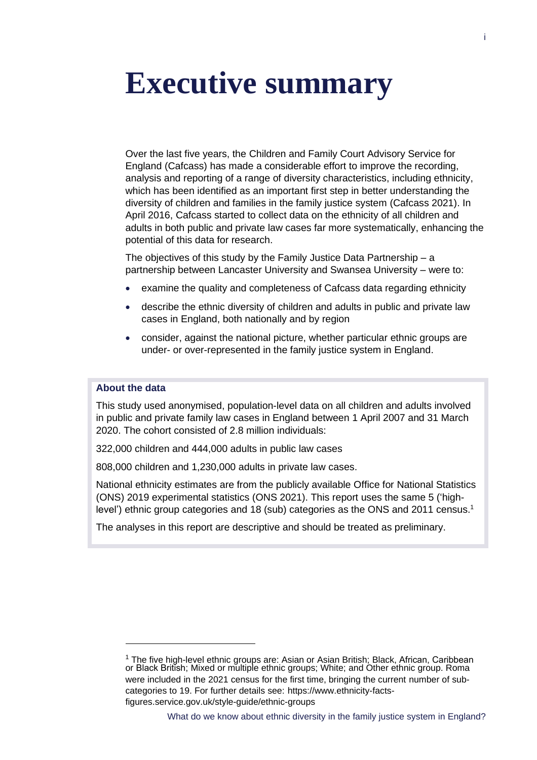## <span id="page-4-0"></span>**Executive summary**

Over the last five years, the Children and Family Court Advisory Service for England (Cafcass) has made a considerable effort to improve the recording, analysis and reporting of a range of diversity characteristics, including ethnicity, which has been identified as an important first step in better understanding the diversity of children and families in the family justice system (Cafcass 2021). In April 2016, Cafcass started to collect data on the ethnicity of all children and adults in both public and private law cases far more systematically, enhancing the potential of this data for research.

The objectives of this study by the Family Justice Data Partnership – a partnership between Lancaster University and Swansea University – were to:

- examine the quality and completeness of Cafcass data regarding ethnicity
- describe the ethnic diversity of children and adults in public and private law cases in England, both nationally and by region
- consider, against the national picture, whether particular ethnic groups are under- or over-represented in the family justice system in England.

#### **About the data**

This study used anonymised, population-level data on all children and adults involved in public and private family law cases in England between 1 April 2007 and 31 March 2020. The cohort consisted of 2.8 million individuals:

• 322,000 children and 444,000 adults in public law cases

• 808,000 children and 1,230,000 adults in private law cases.

National ethnicity estimates are from the publicly available Office for National Statistics (ONS) 2019 experimental statistics (ONS 2021). This report uses the same 5 ('highlevel') ethnic group categories and 18 (sub) categories as the ONS and 2011 census.<sup>1</sup>

The analyses in this report are descriptive and should be treated as preliminary.

<sup>&</sup>lt;sup>1</sup> The five high-level ethnic groups are: Asian or Asian British; Black, African, Caribbean or Black British; Mixed or multiple ethnic groups; White; and Other ethnic group. Roma were included in the 2021 census for the first time, bringing the current number of subcategories to 19. For further details see: https://www.ethnicity-factsfigures.service.gov.uk/style-guide/ethnic-groups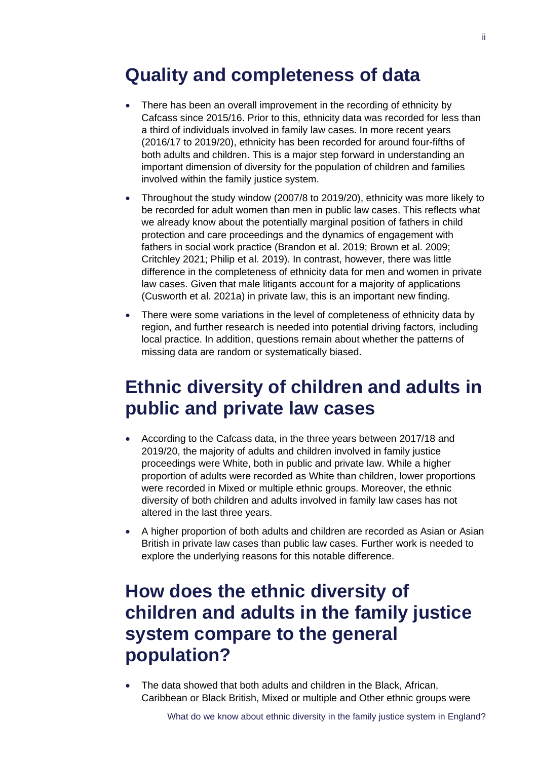### **Quality and completeness of data**

- There has been an overall improvement in the recording of ethnicity by Cafcass since 2015/16. Prior to this, ethnicity data was recorded for less than a third of individuals involved in family law cases. In more recent years (2016/17 to 2019/20), ethnicity has been recorded for around four-fifths of both adults and children. This is a major step forward in understanding an important dimension of diversity for the population of children and families involved within the family justice system.
- Throughout the study window (2007/8 to 2019/20), ethnicity was more likely to be recorded for adult women than men in public law cases. This reflects what we already know about the potentially marginal position of fathers in child protection and care proceedings and the dynamics of engagement with fathers in social work practice (Brandon et al. 2019; Brown et al. 2009; Critchley 2021; Philip et al. 2019). In contrast, however, there was little difference in the completeness of ethnicity data for men and women in private law cases. Given that male litigants account for a majority of applications (Cusworth et al. 2021a) in private law, this is an important new finding.
- There were some variations in the level of completeness of ethnicity data by region, and further research is needed into potential driving factors, including local practice. In addition, questions remain about whether the patterns of missing data are random or systematically biased.

### **Ethnic diversity of children and adults in public and private law cases**

- According to the Cafcass data, in the three years between 2017/18 and 2019/20, the majority of adults and children involved in family justice proceedings were White, both in public and private law. While a higher proportion of adults were recorded as White than children, lower proportions were recorded in Mixed or multiple ethnic groups. Moreover, the ethnic diversity of both children and adults involved in family law cases has not altered in the last three years.
- A higher proportion of both adults and children are recorded as Asian or Asian British in private law cases than public law cases. Further work is needed to explore the underlying reasons for this notable difference.

## **How does the ethnic diversity of children and adults in the family justice system compare to the general population?**

• The data showed that both adults and children in the Black, African, Caribbean or Black British, Mixed or multiple and Other ethnic groups were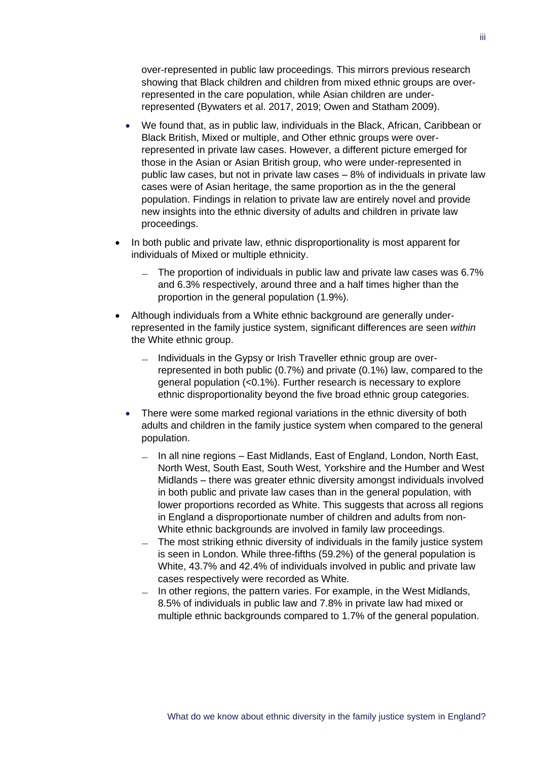over-represented in public law proceedings. This mirrors previous research showing that Black children and children from mixed ethnic groups are overrepresented in the care population, while Asian children are underrepresented (Bywaters et al. 2017, 2019; Owen and Statham 2009).

- We found that, as in public law, individuals in the Black, African, Caribbean or Black British, Mixed or multiple, and Other ethnic groups were overrepresented in private law cases. However, a different picture emerged for those in the Asian or Asian British group, who were under-represented in public law cases, but not in private law cases – 8% of individuals in private law cases were of Asian heritage, the same proportion as in the the general population. Findings in relation to private law are entirely novel and provide new insights into the ethnic diversity of adults and children in private law proceedings.
- In both public and private law, ethnic disproportionality is most apparent for individuals of Mixed or multiple ethnicity.
	- $-$  The proportion of individuals in public law and private law cases was 6.7% and 6.3% respectively, around three and a half times higher than the proportion in the general population (1.9%).
- Although individuals from a White ethnic background are generally underrepresented in the family justice system, significant differences are seen *within* the White ethnic group.
	- $-$  Individuals in the Gypsy or Irish Traveller ethnic group are overrepresented in both public (0.7%) and private (0.1%) law, compared to the general population (<0.1%). Further research is necessary to explore ethnic disproportionality beyond the five broad ethnic group categories.
	- There were some marked regional variations in the ethnic diversity of both adults and children in the family justice system when compared to the general population.
		- In all nine regions East Midlands, East of England, London, North East,  $\equiv$ North West, South East, South West, Yorkshire and the Humber and West Midlands – there was greater ethnic diversity amongst individuals involved in both public and private law cases than in the general population, with lower proportions recorded as White. This suggests that across all regions in England a disproportionate number of children and adults from non-White ethnic backgrounds are involved in family law proceedings.
		- The most striking ethnic diversity of individuals in the family justice system  $\equiv$ is seen in London. While three-fifths (59.2%) of the general population is White, 43.7% and 42.4% of individuals involved in public and private law cases respectively were recorded as White.
		- In other regions, the pattern varies. For example, in the West Midlands, 8.5% of individuals in public law and 7.8% in private law had mixed or multiple ethnic backgrounds compared to 1.7% of the general population.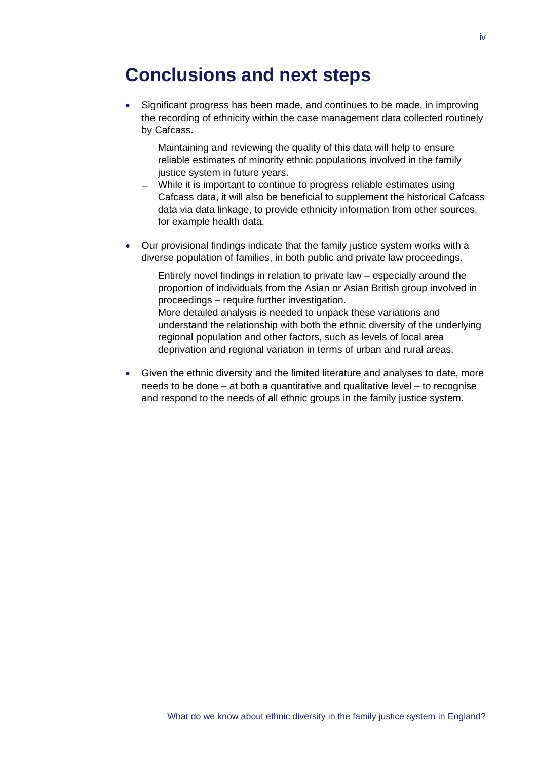### **Conclusions and next steps**

- Significant progress has been made, and continues to be made, in improving the recording of ethnicity within the case management data collected routinely by Cafcass.
	- Maintaining and reviewing the quality of this data will help to ensure reliable estimates of minority ethnic populations involved in the family justice system in future years.
	- $-$  While it is important to continue to progress reliable estimates using Cafcass data, it will also be beneficial to supplement the historical Cafcass data via data linkage, to provide ethnicity information from other sources, for example health data.
- Our provisional findings indicate that the family justice system works with a diverse population of families, in both public and private law proceedings.
	- $-$  Entirely novel findings in relation to private law especially around the proportion of individuals from the Asian or Asian British group involved in proceedings – require further investigation.
	- More detailed analysis is needed to unpack these variations and understand the relationship with both the ethnic diversity of the underlying regional population and other factors, such as levels of local area deprivation and regional variation in terms of urban and rural areas.
- Given the ethnic diversity and the limited literature and analyses to date, more needs to be done – at both a quantitative and qualitative level – to recognise and respond to the needs of all ethnic groups in the family justice system.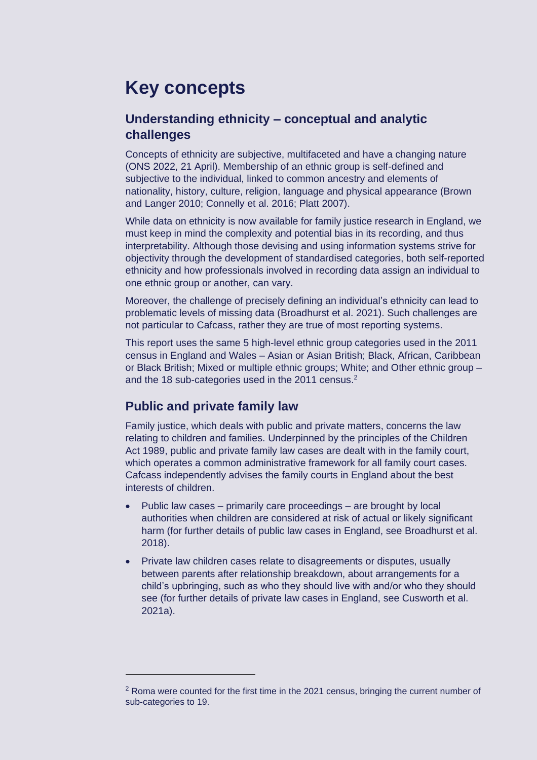## **Key concepts**

#### **Understanding ethnicity – conceptual and analytic challenges**

Concepts of ethnicity are subjective, multifaceted and have a changing nature (ONS 2022, 21 April). Membership of an ethnic group is self-defined and subjective to the individual, linked to common ancestry and elements of nationality, history, culture, religion, language and physical appearance (Brown and Langer 2010; Connelly et al. 2016; Platt 2007).

While data on ethnicity is now available for family justice research in England, we must keep in mind the complexity and potential bias in its recording, and thus interpretability. Although those devising and using information systems strive for objectivity through the development of standardised categories, both self-reported ethnicity and how professionals involved in recording data assign an individual to one ethnic group or another, can vary.

Moreover, the challenge of precisely defining an individual's ethnicity can lead to problematic levels of missing data (Broadhurst et al. 2021). Such challenges are not particular to Cafcass, rather they are true of most reporting systems.

This report uses the same 5 high-level ethnic group categories used in the 2011 census in England and Wales – Asian or Asian British; Black, African, Caribbean or Black British; Mixed or multiple ethnic groups; White; and Other ethnic group – and the 18 sub-categories used in the 2011 census. $2$ 

#### **Public and private family law**

Family justice, which deals with public and private matters, concerns the law relating to children and families. Underpinned by the principles of the Children Act 1989, public and private family law cases are dealt with in the family court, which operates a common administrative framework for all family court cases. Cafcass independently advises the family courts in England about the best interests of children.

- Public law cases primarily care proceedings are brought by local authorities when children are considered at risk of actual or likely significant harm (for further details of public law cases in England, see Broadhurst et al. 2018).
- Private law children cases relate to disagreements or disputes, usually between parents after relationship breakdown, about arrangements for a child's upbringing, such as who they should live with and/or who they should see (for further details of private law cases in England, see Cusworth et al. 2021a).

 $2$  Roma were counted for the first time in the 2021 census, bringing the current number of sub-categories to 19.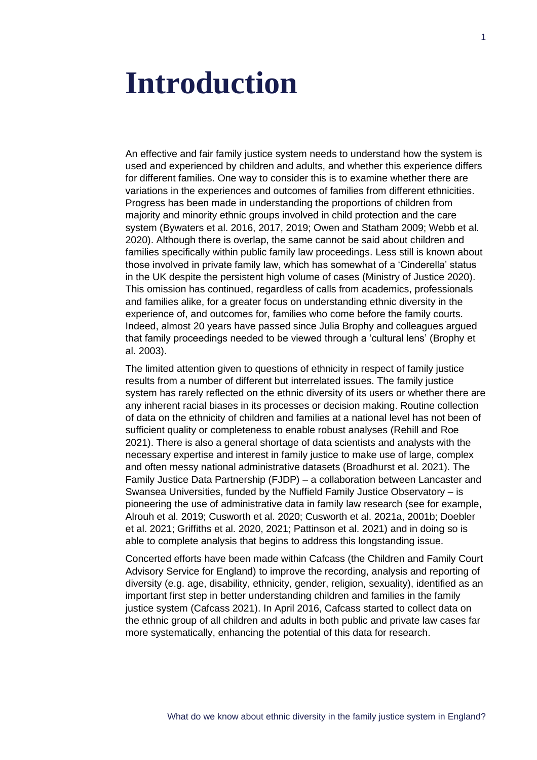## <span id="page-9-0"></span>**Introduction**

An effective and fair family justice system needs to understand how the system is used and experienced by children and adults, and whether this experience differs for different families. One way to consider this is to examine whether there are variations in the experiences and outcomes of families from different ethnicities. Progress has been made in understanding the proportions of children from majority and minority ethnic groups involved in child protection and the care system (Bywaters et al. 2016, 2017, 2019; Owen and Statham 2009; Webb et al. 2020). Although there is overlap, the same cannot be said about children and families specifically within public family law proceedings. Less still is known about those involved in private family law, which has somewhat of a 'Cinderella' status in the UK despite the persistent high volume of cases (Ministry of Justice 2020). This omission has continued, regardless of calls from academics, professionals and families alike, for a greater focus on understanding ethnic diversity in the experience of, and outcomes for, families who come before the family courts. Indeed, almost 20 years have passed since Julia Brophy and colleagues argued that family proceedings needed to be viewed through a 'cultural lens' (Brophy et al. 2003).

The limited attention given to questions of ethnicity in respect of family justice results from a number of different but interrelated issues. The family justice system has rarely reflected on the ethnic diversity of its users or whether there are any inherent racial biases in its processes or decision making. Routine collection of data on the ethnicity of children and families at a national level has not been of sufficient quality or completeness to enable robust analyses (Rehill and Roe 2021). There is also a general shortage of data scientists and analysts with the necessary expertise and interest in family justice to make use of large, complex and often messy national administrative datasets (Broadhurst et al. 2021). The Family Justice Data Partnership (FJDP) – a collaboration between Lancaster and Swansea Universities, funded by the Nuffield Family Justice Observatory – is pioneering the use of administrative data in family law research (see for example, Alrouh et al. 2019; Cusworth et al. 2020; Cusworth et al. 2021a, 2001b; Doebler et al. 2021; Griffiths et al. 2020, 2021; Pattinson et al. 2021) and in doing so is able to complete analysis that begins to address this longstanding issue.

Concerted efforts have been made within Cafcass (the Children and Family Court Advisory Service for England) to improve the recording, analysis and reporting of diversity (e.g. age, disability, ethnicity, gender, religion, sexuality), identified as an important first step in better understanding children and families in the family justice system (Cafcass 2021). In April 2016, Cafcass started to collect data on the ethnic group of all children and adults in both public and private law cases far more systematically, enhancing the potential of this data for research.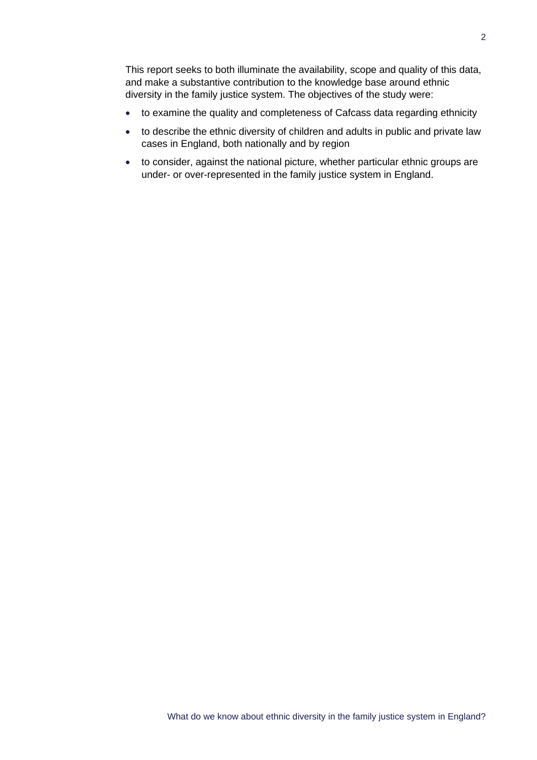This report seeks to both illuminate the availability, scope and quality of this data, and make a substantive contribution to the knowledge base around ethnic diversity in the family justice system. The objectives of the study were:

- to examine the quality and completeness of Cafcass data regarding ethnicity
- to describe the ethnic diversity of children and adults in public and private law cases in England, both nationally and by region
- to consider, against the national picture, whether particular ethnic groups are under- or over-represented in the family justice system in England.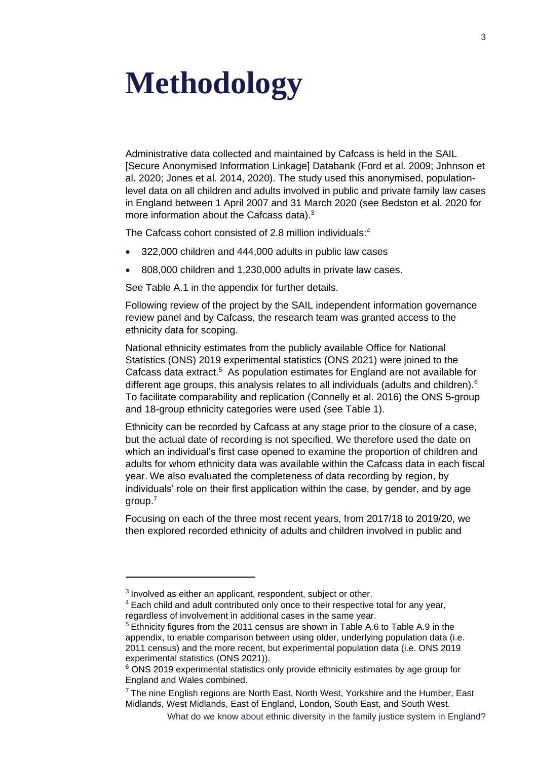## <span id="page-11-0"></span>**Methodology**

Administrative data collected and maintained by Cafcass is held in the SAIL [Secure Anonymised Information Linkage] Databank (Ford et al. 2009; Johnson et al. 2020; Jones et al. 2014, 2020). The study used this anonymised, populationlevel data on all children and adults involved in public and private family law cases in England between 1 April 2007 and 31 March 2020 (see Bedston et al. 2020 for more information about the Cafcass data).<sup>3</sup>

The Cafcass cohort consisted of 2.8 million individuals: 4

- 322,000 children and 444,000 adults in public law cases
- 808,000 children and 1,230,000 adults in private law cases.

See Table A.1 in the appendix for further details.

Following review of the project by the SAIL independent information governance review panel and by Cafcass, the research team was granted access to the ethnicity data for scoping.

National ethnicity estimates from the publicly available Office for National Statistics (ONS) 2019 experimental statistics (ONS 2021) were joined to the Cafcass data extract.<sup>5</sup> As population estimates for England are not available for different age groups, this analysis relates to all individuals (adults and children). $6$ To facilitate comparability and replication (Connelly et al. 2016) the ONS 5-group and 18-group ethnicity categories were used (see [Table 1\)](#page-12-0).

Ethnicity can be recorded by Cafcass at any stage prior to the closure of a case, but the actual date of recording is not specified. We therefore used the date on which an individual's first case opened to examine the proportion of children and adults for whom ethnicity data was available within the Cafcass data in each fiscal year. We also evaluated the completeness of data recording by region, by individuals' role on their first application within the case, by gender, and by age group.<sup>7</sup>

Focusing on each of the three most recent years, from 2017/18 to 2019/20, we then explored recorded ethnicity of adults and children involved in public and

 $3$  Involved as either an applicant, respondent, subject or other.

<sup>&</sup>lt;sup>4</sup> Each child and adult contributed only once to their respective total for any year, regardless of involvement in additional cases in the same year.

<sup>5</sup> Ethnicity figures from the 2011 census are shown in Table A.6 to Table A.9 in the appendix, to enable comparison between using older, underlying population data (i.e. 2011 census) and the more recent, but experimental population data (i.e. ONS 2019 experimental statistics (ONS 2021)).

<sup>&</sup>lt;sup>6</sup> ONS 2019 experimental statistics only provide ethnicity estimates by age group for England and Wales combined.

<sup>&</sup>lt;sup>7</sup> The nine English regions are North East, North West, Yorkshire and the Humber, East Midlands, West Midlands, East of England, London, South East, and South West.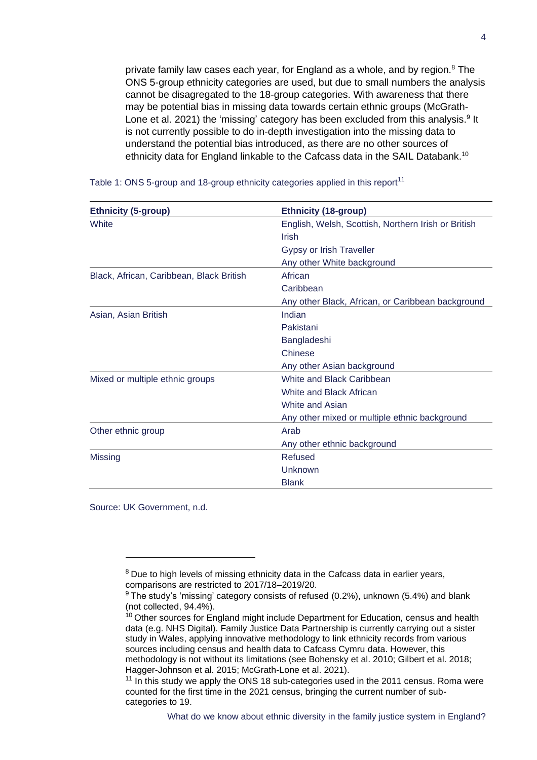private family law cases each year, for England as a whole, and by region.<sup>8</sup> The ONS 5-group ethnicity categories are used, but due to small numbers the analysis cannot be disagregated to the 18-group categories. With awareness that there may be potential bias in missing data towards certain ethnic groups (McGrath-Lone et al. 2021) the 'missing' category has been excluded from this analysis.<sup>9</sup> It is not currently possible to do in-depth investigation into the missing data to understand the potential bias introduced, as there are no other sources of ethnicity data for England linkable to the Cafcass data in the SAIL Databank.<sup>10</sup>

| <b>Ethnicity (5-group)</b>               | <b>Ethnicity (18-group)</b>                         |
|------------------------------------------|-----------------------------------------------------|
| White                                    | English, Welsh, Scottish, Northern Irish or British |
|                                          | Irish                                               |
|                                          | Gypsy or Irish Traveller                            |
|                                          | Any other White background                          |
| Black, African, Caribbean, Black British | African                                             |
|                                          | Caribbean                                           |
|                                          | Any other Black, African, or Caribbean background   |
| Asian, Asian British                     | Indian                                              |
|                                          | Pakistani                                           |
|                                          | Bangladeshi                                         |
|                                          | Chinese                                             |
|                                          | Any other Asian background                          |
| Mixed or multiple ethnic groups          | White and Black Caribbean                           |
|                                          | White and Black African                             |
|                                          | White and Asian                                     |
|                                          | Any other mixed or multiple ethnic background       |
| Other ethnic group                       | Arab                                                |
|                                          | Any other ethnic background                         |
| <b>Missing</b>                           | Refused                                             |
|                                          | Unknown                                             |
|                                          | <b>Blank</b>                                        |

<span id="page-12-0"></span>

|  | Table 1: ONS 5-group and 18-group ethnicity categories applied in this report <sup>11</sup> |  |
|--|---------------------------------------------------------------------------------------------|--|
|--|---------------------------------------------------------------------------------------------|--|

Source: UK Government, n.d.

<sup>&</sup>lt;sup>8</sup> Due to high levels of missing ethnicity data in the Cafcass data in earlier years, comparisons are restricted to 2017/18–2019/20.

 $9$  The study's 'missing' category consists of refused (0.2%), unknown (5.4%) and blank (not collected, 94.4%).

 $10$  Other sources for England might include Department for Education, census and health data (e.g. NHS Digital). Family Justice Data Partnership is currently carrying out a sister study in Wales, applying innovative methodology to link ethnicity records from various sources including census and health data to Cafcass Cymru data. However, this methodology is not without its limitations (see Bohensky et al. 2010; Gilbert et al. 2018; Hagger-Johnson et al. 2015; McGrath-Lone et al. 2021).

 $11$  In this study we apply the ONS 18 sub-categories used in the 2011 census. Roma were counted for the first time in the 2021 census, bringing the current number of subcategories to 19.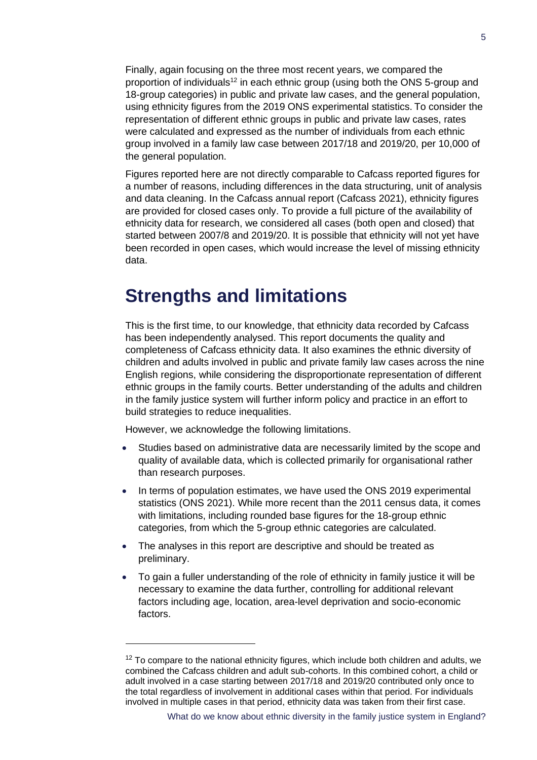Finally, again focusing on the three most recent years, we compared the proportion of individuals<sup>12</sup> in each ethnic group (using both the ONS 5-group and 18-group categories) in public and private law cases, and the general population, using ethnicity figures from the 2019 ONS experimental statistics. To consider the representation of different ethnic groups in public and private law cases, rates were calculated and expressed as the number of individuals from each ethnic group involved in a family law case between 2017/18 and 2019/20, per 10,000 of the general population.

Figures reported here are not directly comparable to Cafcass reported figures for a number of reasons, including differences in the data structuring, unit of analysis and data cleaning. In the Cafcass annual report (Cafcass 2021), ethnicity figures are provided for closed cases only. To provide a full picture of the availability of ethnicity data for research, we considered all cases (both open and closed) that started between 2007/8 and 2019/20. It is possible that ethnicity will not yet have been recorded in open cases, which would increase the level of missing ethnicity data.

#### **Strengths and limitations**

This is the first time, to our knowledge, that ethnicity data recorded by Cafcass has been independently analysed. This report documents the quality and completeness of Cafcass ethnicity data. It also examines the ethnic diversity of children and adults involved in public and private family law cases across the nine English regions, while considering the disproportionate representation of different ethnic groups in the family courts. Better understanding of the adults and children in the family justice system will further inform policy and practice in an effort to build strategies to reduce inequalities.

However, we acknowledge the following limitations.

- Studies based on administrative data are necessarily limited by the scope and quality of available data, which is collected primarily for organisational rather than research purposes.
- In terms of population estimates, we have used the ONS 2019 experimental statistics (ONS 2021). While more recent than the 2011 census data, it comes with limitations, including rounded base figures for the 18-group ethnic categories, from which the 5-group ethnic categories are calculated.
- The analyses in this report are descriptive and should be treated as preliminary.
- To gain a fuller understanding of the role of ethnicity in family justice it will be necessary to examine the data further, controlling for additional relevant factors including age, location, area-level deprivation and socio-economic factors.

 $12$  To compare to the national ethnicity figures, which include both children and adults, we combined the Cafcass children and adult sub-cohorts. In this combined cohort, a child or adult involved in a case starting between 2017/18 and 2019/20 contributed only once to the total regardless of involvement in additional cases within that period. For individuals involved in multiple cases in that period, ethnicity data was taken from their first case.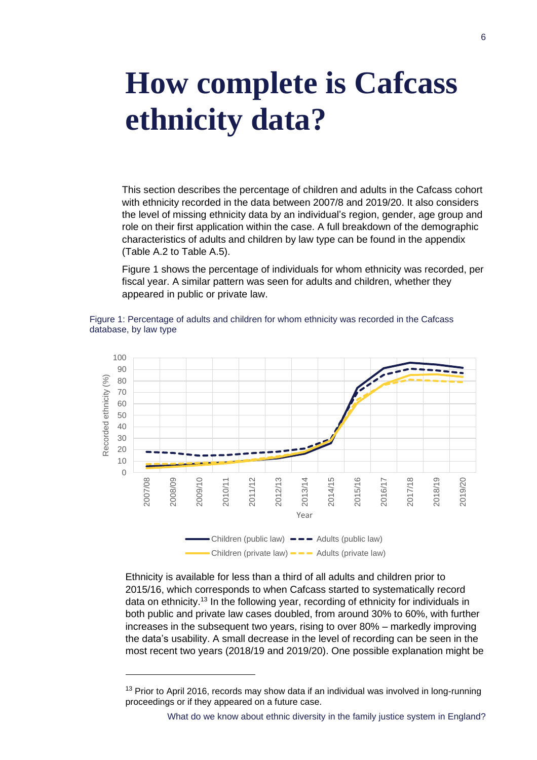## <span id="page-14-0"></span>**How complete is Cafcass ethnicity data?**

This section describes the percentage of children and adults in the Cafcass cohort with ethnicity recorded in the data between 2007/8 and 2019/20. It also considers the level of missing ethnicity data by an individual's region, gender, age group and role on their first application within the case. A full breakdown of the demographic characteristics of adults and children by law type can be found in the appendix (Table A.2 to Table A.5).

[Figure 1](#page-14-1) shows the percentage of individuals for whom ethnicity was recorded, per fiscal year. A similar pattern was seen for adults and children, whether they appeared in public or private law.

<span id="page-14-1"></span>



Ethnicity is available for less than a third of all adults and children prior to 2015/16, which corresponds to when Cafcass started to systematically record data on ethnicity.<sup>13</sup> In the following year, recording of ethnicity for individuals in both public and private law cases doubled, from around 30% to 60%, with further increases in the subsequent two years, rising to over 80% – markedly improving the data's usability. A small decrease in the level of recording can be seen in the most recent two years (2018/19 and 2019/20). One possible explanation might be

<sup>&</sup>lt;sup>13</sup> Prior to April 2016, records may show data if an individual was involved in long-running proceedings or if they appeared on a future case.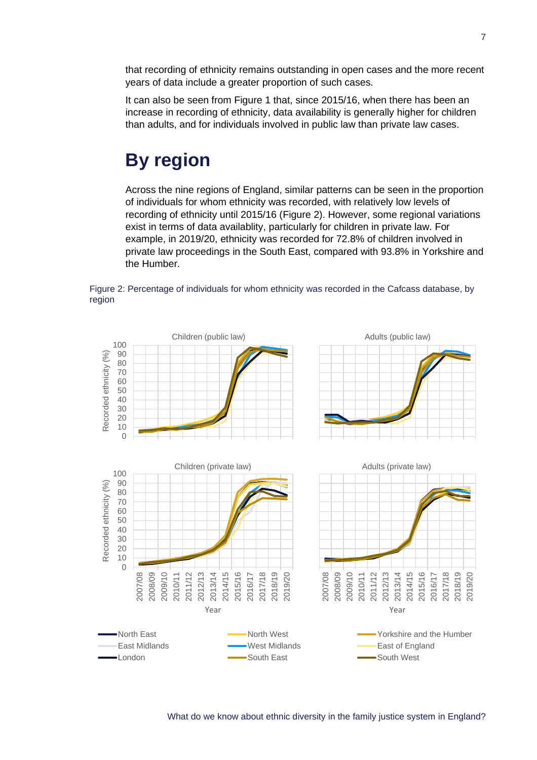that recording of ethnicity remains outstanding in open cases and the more recent years of data include a greater proportion of such cases.

It can also be seen from [Figure 1](#page-14-1) that, since 2015/16, when there has been an increase in recording of ethnicity, data availability is generally higher for children than adults, and for individuals involved in public law than private law cases.

## **By region**

Across the nine regions of England, similar patterns can be seen in the proportion of individuals for whom ethnicity was recorded, with relatively low levels of recording of ethnicity until 2015/16 [\(Figure 2\)](#page-15-0). However, some regional variations exist in terms of data availablity, particularly for children in private law. For example, in 2019/20, ethnicity was recorded for 72.8% of children involved in private law proceedings in the South East, compared with 93.8% in Yorkshire and the Humber.



<span id="page-15-0"></span>Figure 2: Percentage of individuals for whom ethnicity was recorded in the Cafcass database, by region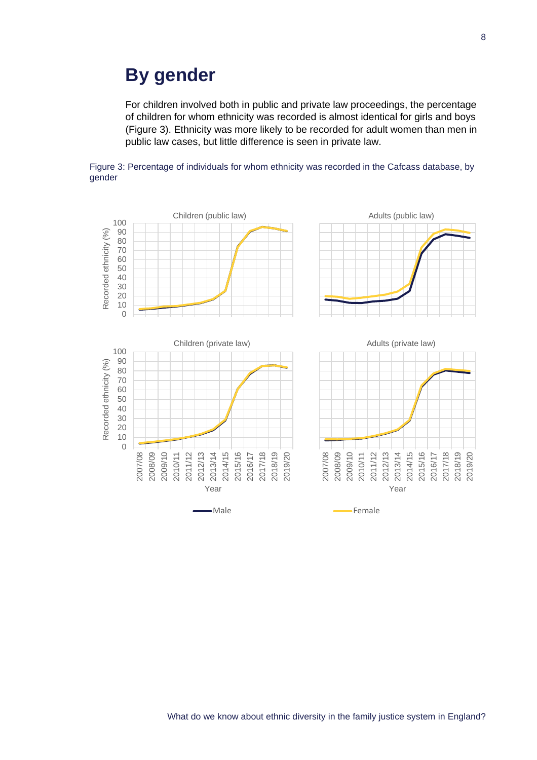### **By gender**

For children involved both in public and private law proceedings, the percentage of children for whom ethnicity was recorded is almost identical for girls and boys [\(Figure 3\)](#page-16-0). Ethnicity was more likely to be recorded for adult women than men in public law cases, but little difference is seen in private law.

<span id="page-16-0"></span>

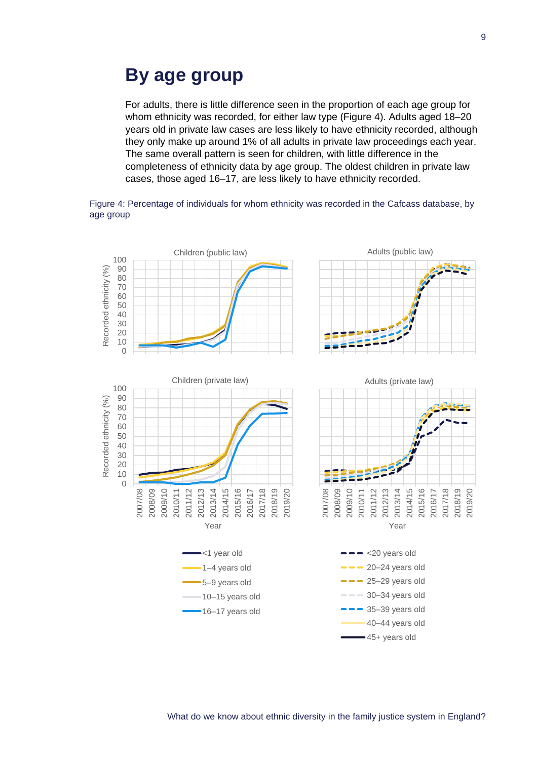### **By age group**

For adults, there is little difference seen in the proportion of each age group for whom ethnicity was recorded, for either law type [\(Figure 4\)](#page-17-0). Adults aged 18–20 years old in private law cases are less likely to have ethnicity recorded, although they only make up around 1% of all adults in private law proceedings each year. The same overall pattern is seen for children, with little difference in the completeness of ethnicity data by age group. The oldest children in private law cases, those aged 16–17, are less likely to have ethnicity recorded.

<span id="page-17-0"></span>

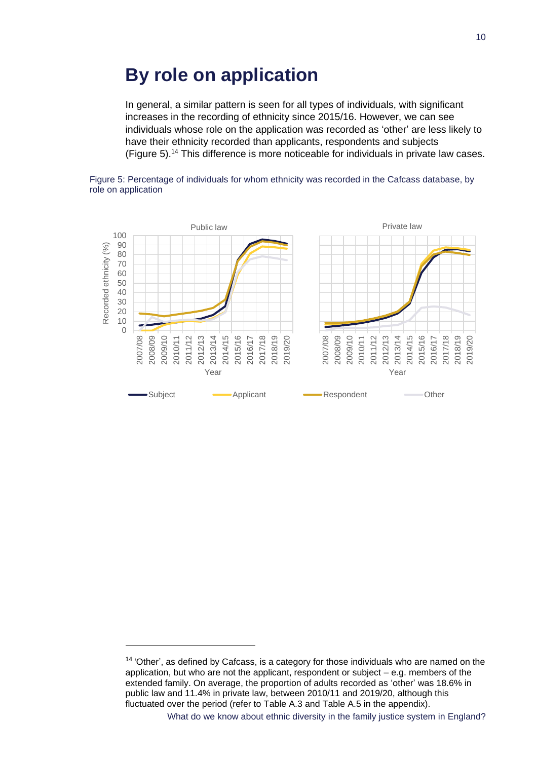### **By role on application**

In general, a similar pattern is seen for all types of individuals, with significant increases in the recording of ethnicity since 2015/16. However, we can see individuals whose role on the application was recorded as 'other' are less likely to have their ethnicity recorded than applicants, respondents and subjects [\(Figure 5\)](#page-18-0).<sup>14</sup> This difference is more noticeable for individuals in private law cases.

<span id="page-18-0"></span>



<sup>&</sup>lt;sup>14</sup> 'Other', as defined by Cafcass, is a category for those individuals who are named on the application, but who are not the applicant, respondent or subject – e.g. members of the extended family. On average, the proportion of adults recorded as 'other' was 18.6% in public law and 11.4% in private law, between 2010/11 and 2019/20, although this fluctuated over the period (refer to Table A.3 and Table A.5 in the appendix).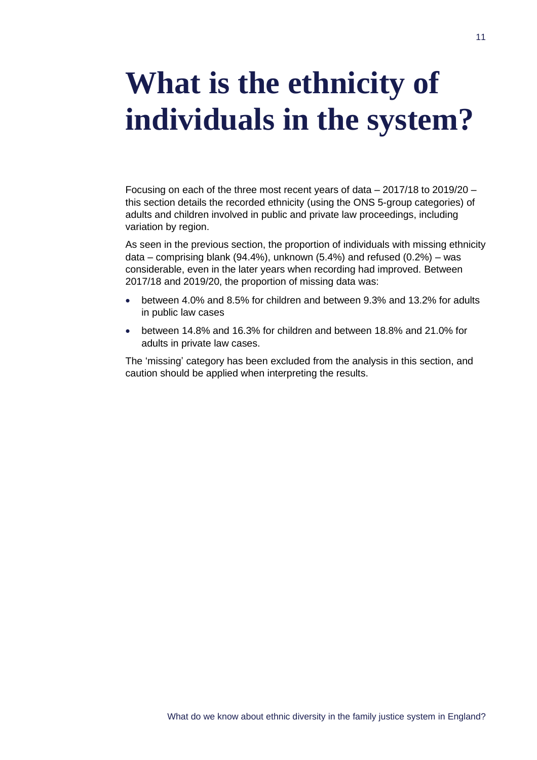## <span id="page-19-0"></span>**What is the ethnicity of individuals in the system?**

Focusing on each of the three most recent years of data – 2017/18 to 2019/20 – this section details the recorded ethnicity (using the ONS 5-group categories) of adults and children involved in public and private law proceedings, including variation by region.

As seen in the previous section, the proportion of individuals with missing ethnicity data – comprising blank (94.4%), unknown (5.4%) and refused (0.2%) – was considerable, even in the later years when recording had improved. Between 2017/18 and 2019/20, the proportion of missing data was:

- between 4.0% and 8.5% for children and between 9.3% and 13.2% for adults in public law cases
- between 14.8% and 16.3% for children and between 18.8% and 21.0% for adults in private law cases.

The 'missing' category has been excluded from the analysis in this section, and caution should be applied when interpreting the results.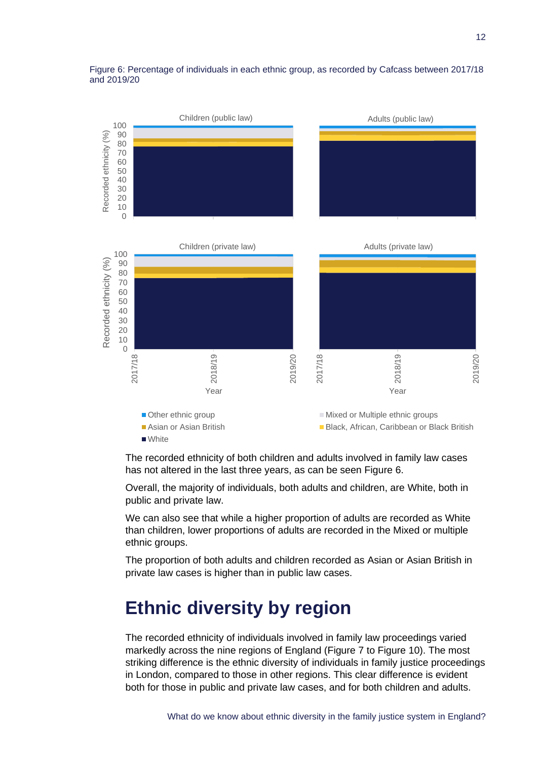

#### Figure 6: Percentage of individuals in each ethnic group, as recorded by Cafcass between 2017/18 and 2019/20

The recorded ethnicity of both children and adults involved in family law cases has not altered in the last three years, as can be seen Figure 6.

Overall, the majority of individuals, both adults and children, are White, both in public and private law.

We can also see that while a higher proportion of adults are recorded as White than children, lower proportions of adults are recorded in the Mixed or multiple ethnic groups.

The proportion of both adults and children recorded as Asian or Asian British in private law cases is higher than in public law cases.

### **Ethnic diversity by region**

The recorded ethnicity of individuals involved in family law proceedings varied markedly across the nine regions of England [\(Figure 7](#page-21-0) to [Figure 10\)](#page-24-0). The most striking difference is the ethnic diversity of individuals in family justice proceedings in London, compared to those in other regions. This clear difference is evident both for those in public and private law cases, and for both children and adults.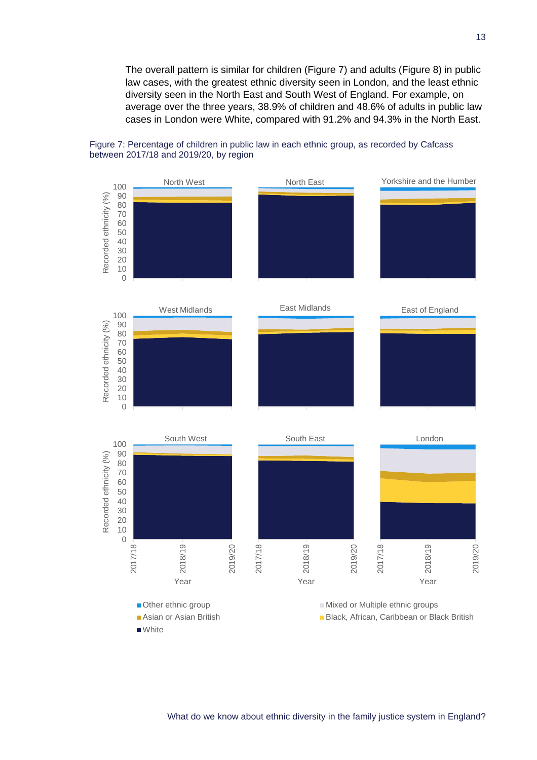The overall pattern is similar for children [\(Figure 7\)](#page-21-0) and adults [\(Figure 8\)](#page-22-0) in public law cases, with the greatest ethnic diversity seen in London, and the least ethnic diversity seen in the North East and South West of England. For example, on average over the three years, 38.9% of children and 48.6% of adults in public law cases in London were White, compared with 91.2% and 94.3% in the North East.



<span id="page-21-0"></span>Figure 7: Percentage of children in public law in each ethnic group, as recorded by Cafcass between 2017/18 and 2019/20, by region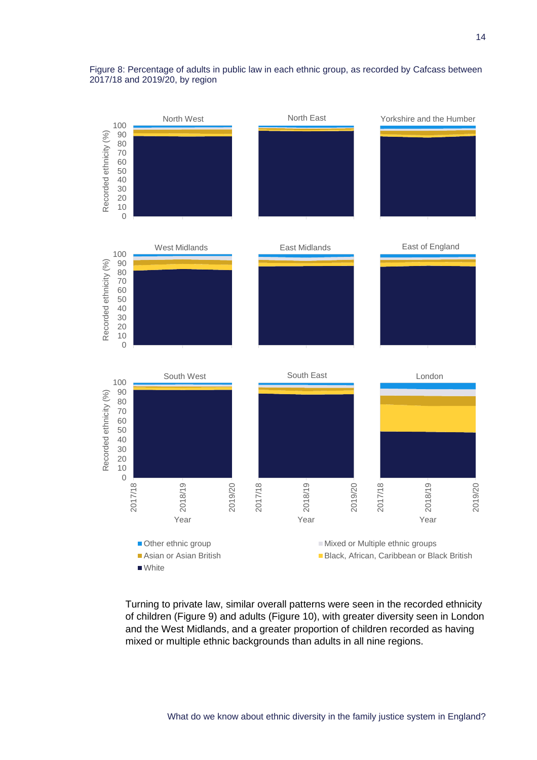<span id="page-22-0"></span>



Turning to private law, similar overall patterns were seen in the recorded ethnicity of children (Figure 9) and adults [\(Figure 10\)](#page-24-0), with greater diversity seen in London and the West Midlands, and a greater proportion of children recorded as having mixed or multiple ethnic backgrounds than adults in all nine regions.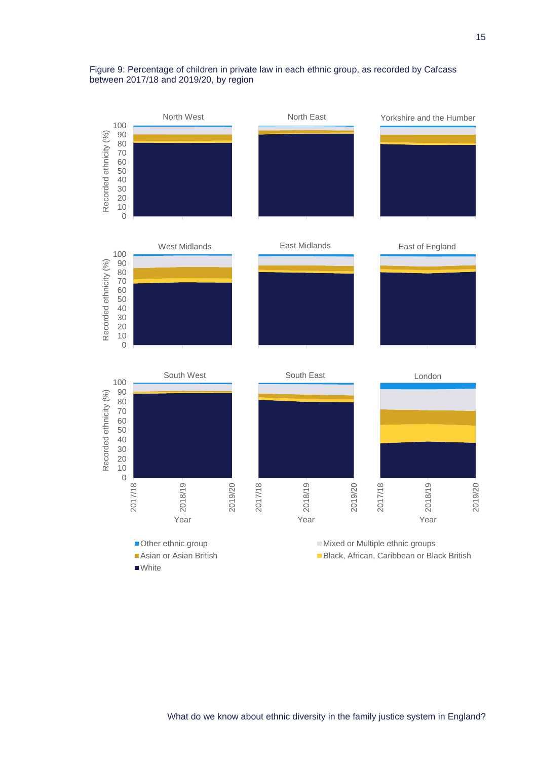#### Figure 9: Percentage of children in private law in each ethnic group, as recorded by Cafcass between 2017/18 and 2019/20, by region

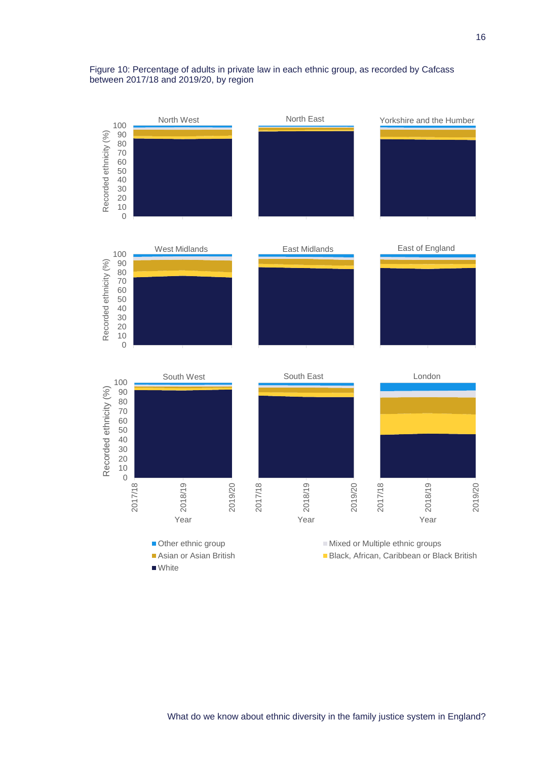#### <span id="page-24-0"></span>Figure 10: Percentage of adults in private law in each ethnic group, as recorded by Cafcass between 2017/18 and 2019/20, by region

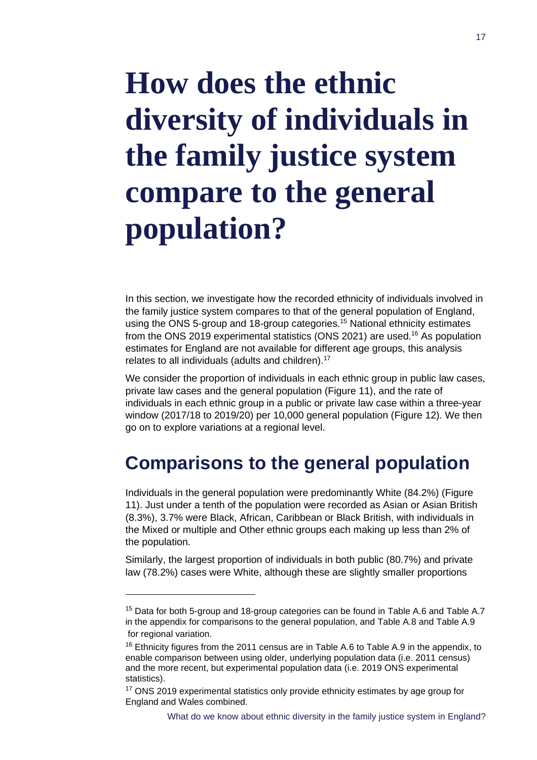## <span id="page-25-0"></span>**How does the ethnic diversity of individuals in the family justice system compare to the general population?**

In this section, we investigate how the recorded ethnicity of individuals involved in the family justice system compares to that of the general population of England, using the ONS 5-group and 18-group categories.<sup>15</sup> National ethnicity estimates from the ONS 2019 experimental statistics (ONS 2021) are used.<sup>16</sup> As population estimates for England are not available for different age groups, this analysis relates to all individuals (adults and children).<sup>17</sup>

We consider the proportion of individuals in each ethnic group in public law cases, private law cases and the general population (Figure 11), and the rate of individuals in each ethnic group in a public or private law case within a three-year window (2017/18 to 2019/20) per 10,000 general population [\(Figure 12\)](#page-27-0). We then go on to explore variations at a regional level.

## **Comparisons to the general population**

Individuals in the general population were predominantly White (84.2%) (Figure 11). Just under a tenth of the population were recorded as Asian or Asian British (8.3%), 3.7% were Black, African, Caribbean or Black British, with individuals in the Mixed or multiple and Other ethnic groups each making up less than 2% of the population.

Similarly, the largest proportion of individuals in both public (80.7%) and private law (78.2%) cases were White, although these are slightly smaller proportions

<sup>&</sup>lt;sup>15</sup> Data for both 5-group and 18-group categories can be found in Table A.6 and Table A.7 in the appendix for comparisons to the general population, and Table A.8 and Table A.9 for regional variation.

 $16$  Ethnicity figures from the 2011 census are in Table A.6 to Table A.9 in the appendix, to enable comparison between using older, underlying population data (i.e. 2011 census) and the more recent, but experimental population data (i.e. 2019 ONS experimental statistics).

<sup>&</sup>lt;sup>17</sup> ONS 2019 experimental statistics only provide ethnicity estimates by age group for England and Wales combined.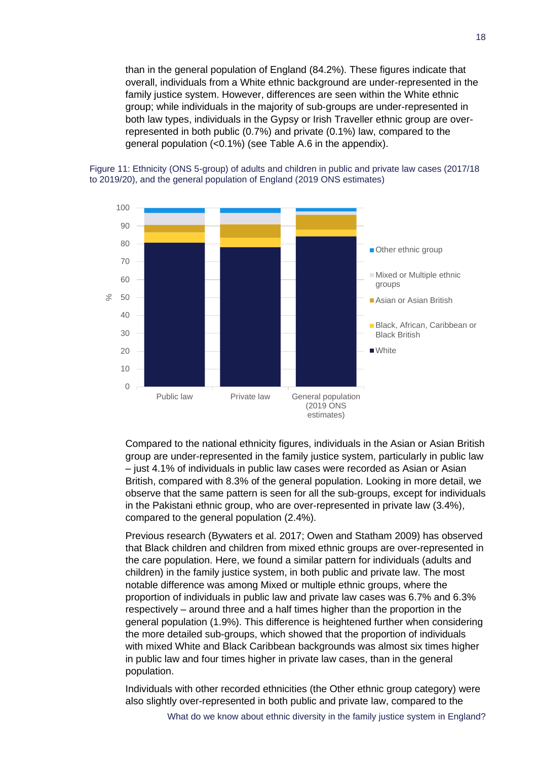than in the general population of England (84.2%). These figures indicate that overall, individuals from a White ethnic background are under-represented in the family justice system. However, differences are seen within the White ethnic group; while individuals in the majority of sub-groups are under-represented in both law types, individuals in the Gypsy or Irish Traveller ethnic group are overrepresented in both public (0.7%) and private (0.1%) law, compared to the general population (<0.1%) (see Table A.6 in the appendix).



Figure 11: Ethnicity (ONS 5-group) of adults and children in public and private law cases (2017/18 to 2019/20), and the general population of England (2019 ONS estimates)

Compared to the national ethnicity figures, individuals in the Asian or Asian British group are under-represented in the family justice system, particularly in public law – just 4.1% of individuals in public law cases were recorded as Asian or Asian British, compared with 8.3% of the general population. Looking in more detail, we observe that the same pattern is seen for all the sub-groups, except for individuals in the Pakistani ethnic group, who are over-represented in private law (3.4%), compared to the general population (2.4%).

Previous research (Bywaters et al. 2017; Owen and Statham 2009) has observed that Black children and children from mixed ethnic groups are over-represented in the care population. Here, we found a similar pattern for individuals (adults and children) in the family justice system, in both public and private law. The most notable difference was among Mixed or multiple ethnic groups, where the proportion of individuals in public law and private law cases was 6.7% and 6.3% respectively – around three and a half times higher than the proportion in the general population (1.9%). This difference is heightened further when considering the more detailed sub-groups, which showed that the proportion of individuals with mixed White and Black Caribbean backgrounds was almost six times higher in public law and four times higher in private law cases, than in the general population.

Individuals with other recorded ethnicities (the Other ethnic group category) were also slightly over-represented in both public and private law, compared to the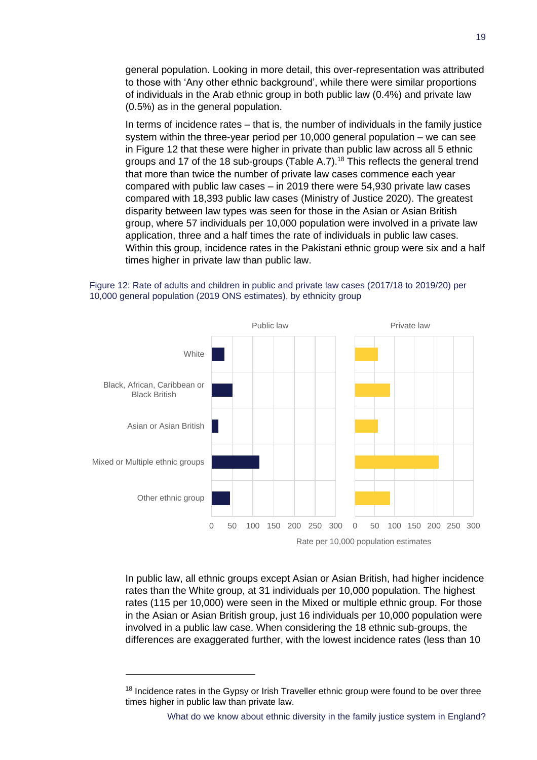general population. Looking in more detail, this over-representation was attributed to those with 'Any other ethnic background', while there were similar proportions of individuals in the Arab ethnic group in both public law (0.4%) and private law (0.5%) as in the general population.

In terms of incidence rates – that is, the number of individuals in the family justice system within the three-year period per 10,000 general population – we can see in Figure 12 that these were higher in private than public law across all 5 ethnic groups and 17 of the 18 sub-groups (Table A.7). <sup>18</sup> This reflects the general trend that more than twice the number of private law cases commence each year compared with public law cases – in 2019 there were 54,930 private law cases compared with 18,393 public law cases (Ministry of Justice 2020). The greatest disparity between law types was seen for those in the Asian or Asian British group, where 57 individuals per 10,000 population were involved in a private law application, three and a half times the rate of individuals in public law cases. Within this group, incidence rates in the Pakistani ethnic group were six and a half times higher in private law than public law.

#### <span id="page-27-0"></span>Figure 12: Rate of adults and children in public and private law cases (2017/18 to 2019/20) per 10,000 general population (2019 ONS estimates), by ethnicity group



In public law, all ethnic groups except Asian or Asian British, had higher incidence rates than the White group, at 31 individuals per 10,000 population. The highest rates (115 per 10,000) were seen in the Mixed or multiple ethnic group. For those in the Asian or Asian British group, just 16 individuals per 10,000 population were involved in a public law case. When considering the 18 ethnic sub-groups, the differences are exaggerated further, with the lowest incidence rates (less than 10

<sup>&</sup>lt;sup>18</sup> Incidence rates in the Gypsy or Irish Traveller ethnic group were found to be over three times higher in public law than private law.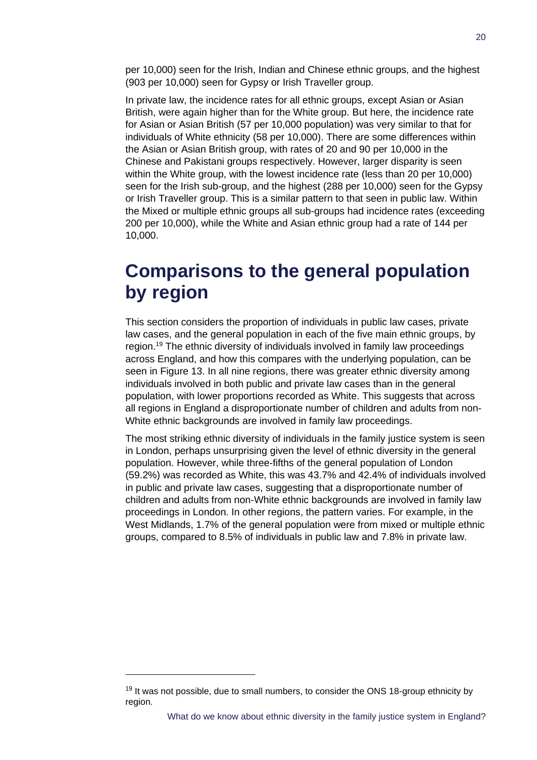per 10,000) seen for the Irish, Indian and Chinese ethnic groups, and the highest (903 per 10,000) seen for Gypsy or Irish Traveller group.

In private law, the incidence rates for all ethnic groups, except Asian or Asian British, were again higher than for the White group. But here, the incidence rate for Asian or Asian British (57 per 10,000 population) was very similar to that for individuals of White ethnicity (58 per 10,000). There are some differences within the Asian or Asian British group, with rates of 20 and 90 per 10,000 in the Chinese and Pakistani groups respectively. However, larger disparity is seen within the White group, with the lowest incidence rate (less than 20 per 10,000) seen for the Irish sub-group, and the highest (288 per 10,000) seen for the Gypsy or Irish Traveller group. This is a similar pattern to that seen in public law. Within the Mixed or multiple ethnic groups all sub-groups had incidence rates (exceeding 200 per 10,000), while the White and Asian ethnic group had a rate of 144 per 10,000.

## **Comparisons to the general population by region**

This section considers the proportion of individuals in public law cases, private law cases, and the general population in each of the five main ethnic groups, by region.<sup>19</sup> The ethnic diversity of individuals involved in family law proceedings across England, and how this compares with the underlying population, can be seen in Figure 13. In all nine regions, there was greater ethnic diversity among individuals involved in both public and private law cases than in the general population, with lower proportions recorded as White. This suggests that across all regions in England a disproportionate number of children and adults from non-White ethnic backgrounds are involved in family law proceedings.

The most striking ethnic diversity of individuals in the family justice system is seen in London, perhaps unsurprising given the level of ethnic diversity in the general population. However, while three-fifths of the general population of London (59.2%) was recorded as White, this was 43.7% and 42.4% of individuals involved in public and private law cases, suggesting that a disproportionate number of children and adults from non-White ethnic backgrounds are involved in family law proceedings in London. In other regions, the pattern varies. For example, in the West Midlands, 1.7% of the general population were from mixed or multiple ethnic groups, compared to 8.5% of individuals in public law and 7.8% in private law.

 $19$  It was not possible, due to small numbers, to consider the ONS 18-group ethnicity by region.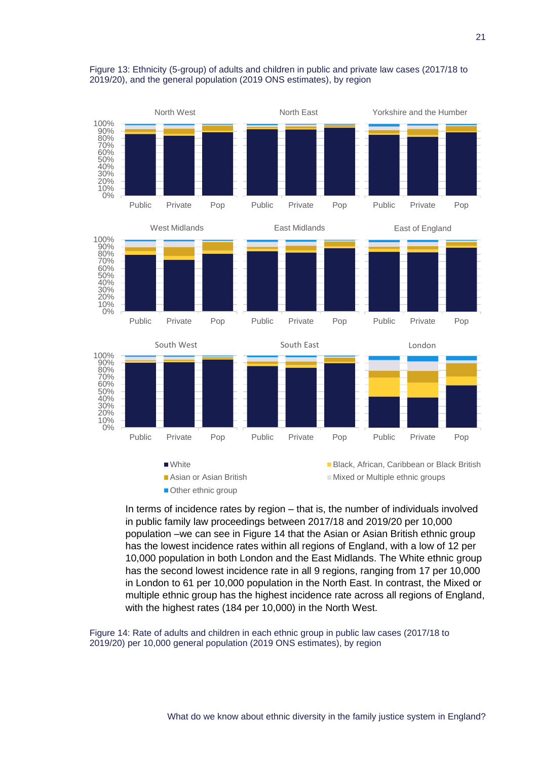

#### Figure 13: Ethnicity (5-group) of adults and children in public and private law cases (2017/18 to 2019/20), and the general population (2019 ONS estimates), by region

In terms of incidence rates by region – that is, the number of individuals involved in public family law proceedings between 2017/18 and 2019/20 per 10,000 population –we can see in [Figure 14](#page-29-0) that the Asian or Asian British ethnic group has the lowest incidence rates within all regions of England, with a low of 12 per 10,000 population in both London and the East Midlands. The White ethnic group has the second lowest incidence rate in all 9 regions, ranging from 17 per 10,000 in London to 61 per 10,000 population in the North East. In contrast, the Mixed or multiple ethnic group has the highest incidence rate across all regions of England, with the highest rates (184 per 10,000) in the North West.

<span id="page-29-0"></span>Figure 14: Rate of adults and children in each ethnic group in public law cases (2017/18 to 2019/20) per 10,000 general population (2019 ONS estimates), by region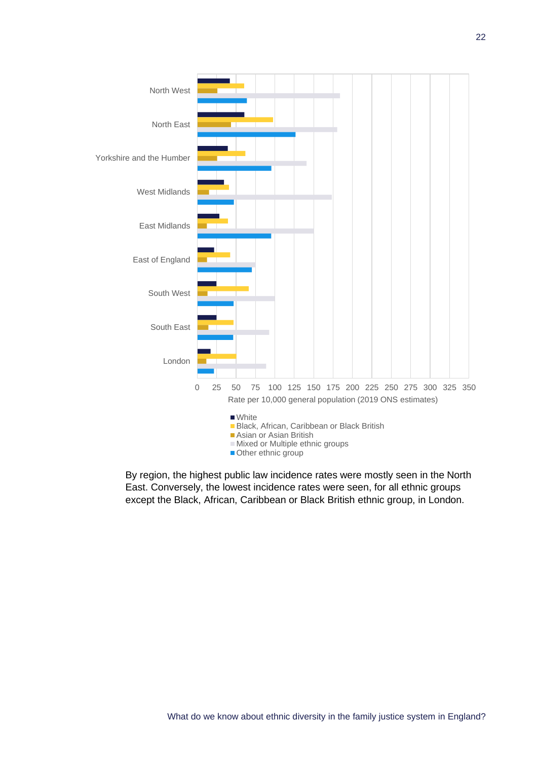

By region, the highest public law incidence rates were mostly seen in the North East. Conversely, the lowest incidence rates were seen, for all ethnic groups except the Black, African, Caribbean or Black British ethnic group, in London.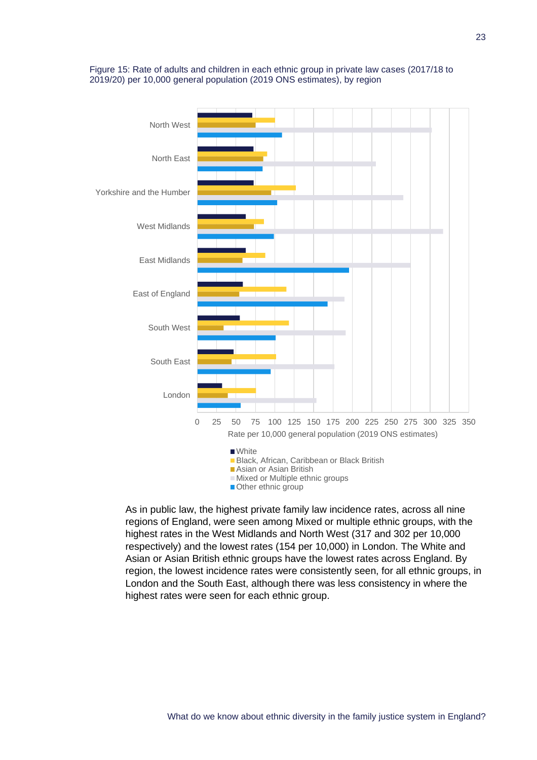

Figure 15: Rate of adults and children in each ethnic group in private law cases (2017/18 to 2019/20) per 10,000 general population (2019 ONS estimates), by region

As in public law, the highest private family law incidence rates, across all nine regions of England, were seen among Mixed or multiple ethnic groups, with the highest rates in the West Midlands and North West (317 and 302 per 10,000 respectively) and the lowest rates (154 per 10,000) in London. The White and Asian or Asian British ethnic groups have the lowest rates across England. By region, the lowest incidence rates were consistently seen, for all ethnic groups, in London and the South East, although there was less consistency in where the highest rates were seen for each ethnic group.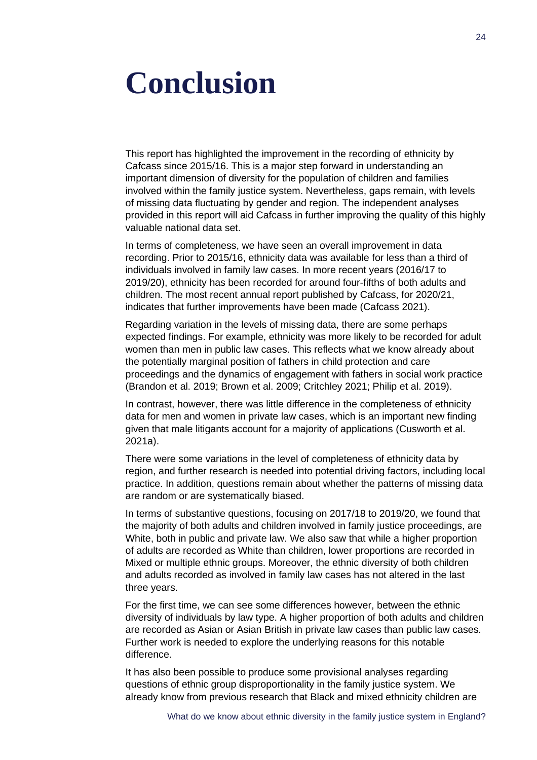## <span id="page-32-0"></span>**Conclusion**

This report has highlighted the improvement in the recording of ethnicity by Cafcass since 2015/16. This is a major step forward in understanding an important dimension of diversity for the population of children and families involved within the family justice system. Nevertheless, gaps remain, with levels of missing data fluctuating by gender and region. The independent analyses provided in this report will aid Cafcass in further improving the quality of this highly valuable national data set.

In terms of completeness, we have seen an overall improvement in data recording. Prior to 2015/16, ethnicity data was available for less than a third of individuals involved in family law cases. In more recent years (2016/17 to 2019/20), ethnicity has been recorded for around four-fifths of both adults and children. The most recent annual report published by Cafcass, for 2020/21, indicates that further improvements have been made (Cafcass 2021).

Regarding variation in the levels of missing data, there are some perhaps expected findings. For example, ethnicity was more likely to be recorded for adult women than men in public law cases. This reflects what we know already about the potentially marginal position of fathers in child protection and care proceedings and the dynamics of engagement with fathers in social work practice (Brandon et al. 2019; Brown et al. 2009; Critchley 2021; Philip et al. 2019).

In contrast, however, there was little difference in the completeness of ethnicity data for men and women in private law cases, which is an important new finding given that male litigants account for a majority of applications (Cusworth et al. 2021a).

There were some variations in the level of completeness of ethnicity data by region, and further research is needed into potential driving factors, including local practice. In addition, questions remain about whether the patterns of missing data are random or are systematically biased.

In terms of substantive questions, focusing on 2017/18 to 2019/20, we found that the majority of both adults and children involved in family justice proceedings, are White, both in public and private law. We also saw that while a higher proportion of adults are recorded as White than children, lower proportions are recorded in Mixed or multiple ethnic groups. Moreover, the ethnic diversity of both children and adults recorded as involved in family law cases has not altered in the last three years.

For the first time, we can see some differences however, between the ethnic diversity of individuals by law type. A higher proportion of both adults and children are recorded as Asian or Asian British in private law cases than public law cases. Further work is needed to explore the underlying reasons for this notable difference.

It has also been possible to produce some provisional analyses regarding questions of ethnic group disproportionality in the family justice system. We already know from previous research that Black and mixed ethnicity children are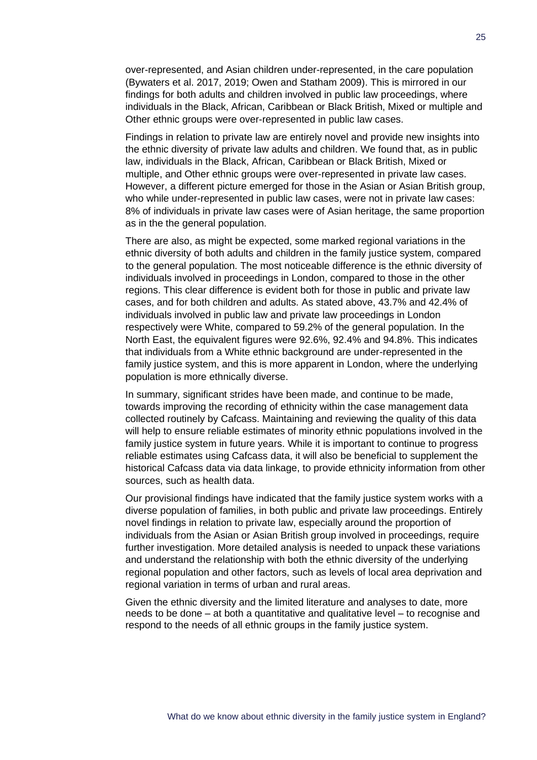over-represented, and Asian children under-represented, in the care population (Bywaters et al. 2017, 2019; Owen and Statham 2009). This is mirrored in our findings for both adults and children involved in public law proceedings, where individuals in the Black, African, Caribbean or Black British, Mixed or multiple and Other ethnic groups were over-represented in public law cases.

Findings in relation to private law are entirely novel and provide new insights into the ethnic diversity of private law adults and children. We found that, as in public law, individuals in the Black, African, Caribbean or Black British, Mixed or multiple, and Other ethnic groups were over-represented in private law cases. However, a different picture emerged for those in the Asian or Asian British group, who while under-represented in public law cases, were not in private law cases: 8% of individuals in private law cases were of Asian heritage, the same proportion as in the the general population.

There are also, as might be expected, some marked regional variations in the ethnic diversity of both adults and children in the family justice system, compared to the general population. The most noticeable difference is the ethnic diversity of individuals involved in proceedings in London, compared to those in the other regions. This clear difference is evident both for those in public and private law cases, and for both children and adults. As stated above, 43.7% and 42.4% of individuals involved in public law and private law proceedings in London respectively were White, compared to 59.2% of the general population. In the North East, the equivalent figures were 92.6%, 92.4% and 94.8%. This indicates that individuals from a White ethnic background are under-represented in the family justice system, and this is more apparent in London, where the underlying population is more ethnically diverse.

In summary, significant strides have been made, and continue to be made, towards improving the recording of ethnicity within the case management data collected routinely by Cafcass. Maintaining and reviewing the quality of this data will help to ensure reliable estimates of minority ethnic populations involved in the family justice system in future years. While it is important to continue to progress reliable estimates using Cafcass data, it will also be beneficial to supplement the historical Cafcass data via data linkage, to provide ethnicity information from other sources, such as health data.

Our provisional findings have indicated that the family justice system works with a diverse population of families, in both public and private law proceedings. Entirely novel findings in relation to private law, especially around the proportion of individuals from the Asian or Asian British group involved in proceedings, require further investigation. More detailed analysis is needed to unpack these variations and understand the relationship with both the ethnic diversity of the underlying regional population and other factors, such as levels of local area deprivation and regional variation in terms of urban and rural areas.

Given the ethnic diversity and the limited literature and analyses to date, more needs to be done – at both a quantitative and qualitative level – to recognise and respond to the needs of all ethnic groups in the family justice system.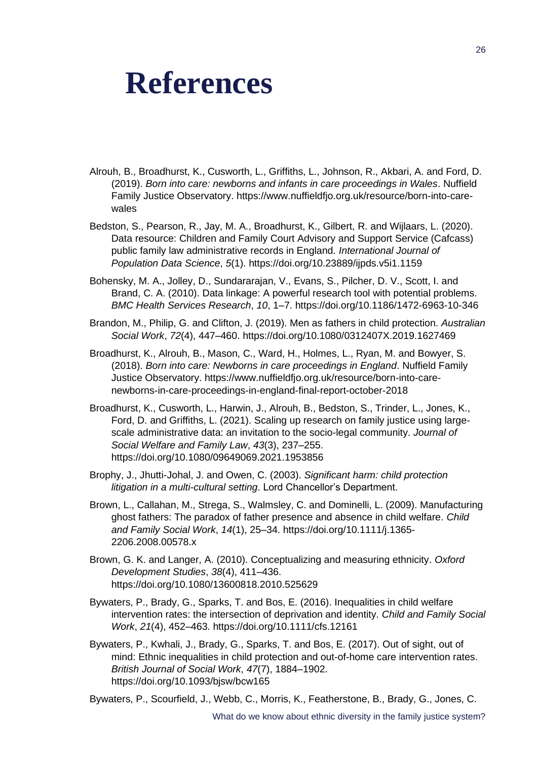## <span id="page-34-0"></span>**References**

- Alrouh, B., Broadhurst, K., Cusworth, L., Griffiths, L., Johnson, R., Akbari, A. and Ford, D. (2019). *Born into care: newborns and infants in care proceedings in Wales*. Nuffield Family Justice Observatory. https://www.nuffieldfjo.org.uk/resource/born-into-carewales
- Bedston, S., Pearson, R., Jay, M. A., Broadhurst, K., Gilbert, R. and Wijlaars, L. (2020). Data resource: Children and Family Court Advisory and Support Service (Cafcass) public family law administrative records in England. *International Journal of Population Data Science*, *5*(1). https://doi.org/10.23889/ijpds.v5i1.1159
- Bohensky, M. A., Jolley, D., Sundararajan, V., Evans, S., Pilcher, D. V., Scott, I. and Brand, C. A. (2010). Data linkage: A powerful research tool with potential problems. *BMC Health Services Research*, *10*, 1–7. https://doi.org/10.1186/1472-6963-10-346
- Brandon, M., Philip, G. and Clifton, J. (2019). Men as fathers in child protection. *Australian Social Work*, *72*(4), 447–460. https://doi.org/10.1080/0312407X.2019.1627469
- Broadhurst, K., Alrouh, B., Mason, C., Ward, H., Holmes, L., Ryan, M. and Bowyer, S. (2018). *Born into care: Newborns in care proceedings in England*. Nuffield Family Justice Observatory. https://www.nuffieldfjo.org.uk/resource/born-into-carenewborns-in-care-proceedings-in-england-final-report-october-2018
- Broadhurst, K., Cusworth, L., Harwin, J., Alrouh, B., Bedston, S., Trinder, L., Jones, K., Ford, D. and Griffiths, L. (2021). Scaling up research on family justice using largescale administrative data: an invitation to the socio-legal community. *Journal of Social Welfare and Family Law*, *43*(3), 237–255. https://doi.org/10.1080/09649069.2021.1953856
- Brophy, J., Jhutti-Johal, J. and Owen, C. (2003). *Significant harm: child protection litigation in a multi-cultural setting*. Lord Chancellor's Department.
- Brown, L., Callahan, M., Strega, S., Walmsley, C. and Dominelli, L. (2009). Manufacturing ghost fathers: The paradox of father presence and absence in child welfare. *Child and Family Social Work*, *14*(1), 25–34. https://doi.org/10.1111/j.1365- 2206.2008.00578.x
- Brown, G. K. and Langer, A. (2010). Conceptualizing and measuring ethnicity. *Oxford Development Studies*, *38*(4), 411–436. https://doi.org/10.1080/13600818.2010.525629
- Bywaters, P., Brady, G., Sparks, T. and Bos, E. (2016). Inequalities in child welfare intervention rates: the intersection of deprivation and identity. *Child and Family Social Work*, *21*(4), 452–463. https://doi.org/10.1111/cfs.12161
- Bywaters, P., Kwhali, J., Brady, G., Sparks, T. and Bos, E. (2017). Out of sight, out of mind: Ethnic inequalities in child protection and out-of-home care intervention rates. *British Journal of Social Work*, *47*(7), 1884–1902. https://doi.org/10.1093/bjsw/bcw165
- Bywaters, P., Scourfield, J., Webb, C., Morris, K., Featherstone, B., Brady, G., Jones, C.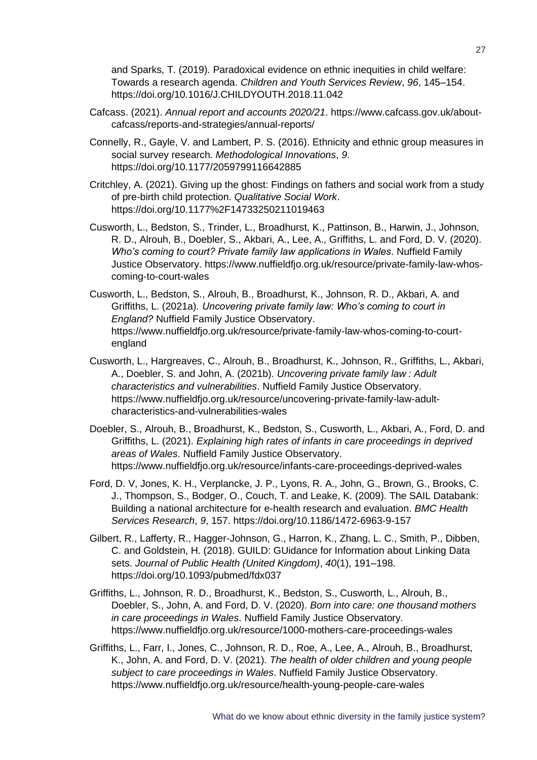and Sparks, T. (2019). Paradoxical evidence on ethnic inequities in child welfare: Towards a research agenda. *Children and Youth Services Review*, *96*, 145–154. https://doi.org/10.1016/J.CHILDYOUTH.2018.11.042

- Cafcass. (2021). *Annual report and accounts 2020/21*. https://www.cafcass.gov.uk/aboutcafcass/reports-and-strategies/annual-reports/
- Connelly, R., Gayle, V. and Lambert, P. S. (2016). Ethnicity and ethnic group measures in social survey research. *Methodological Innovations*, *9*. https://doi.org/10.1177/2059799116642885
- Critchley, A. (2021). Giving up the ghost: Findings on fathers and social work from a study of pre-birth child protection. *Qualitative Social Work*. https://doi.org/10.1177%2F14733250211019463
- Cusworth, L., Bedston, S., Trinder, L., Broadhurst, K., Pattinson, B., Harwin, J., Johnson, R. D., Alrouh, B., Doebler, S., Akbari, A., Lee, A., Griffiths, L. and Ford, D. V. (2020). *Who's coming to court? Private family law applications in Wales*. Nuffield Family Justice Observatory. https://www.nuffieldfjo.org.uk/resource/private-family-law-whoscoming-to-court-wales
- Cusworth, L., Bedston, S., Alrouh, B., Broadhurst, K., Johnson, R. D., Akbari, A. and Griffiths, L. (2021a). *Uncovering private family law: Who's coming to court in England?* Nuffield Family Justice Observatory. https://www.nuffieldfjo.org.uk/resource/private-family-law-whos-coming-to-courtengland
- Cusworth, L., Hargreaves, C., Alrouh, B., Broadhurst, K., Johnson, R., Griffiths, L., Akbari, A., Doebler, S. and John, A. (2021b). *Uncovering private family law : Adult characteristics and vulnerabilities*. Nuffield Family Justice Observatory. https://www.nuffieldfjo.org.uk/resource/uncovering-private-family-law-adultcharacteristics-and-vulnerabilities-wales
- Doebler, S., Alrouh, B., Broadhurst, K., Bedston, S., Cusworth, L., Akbari, A., Ford, D. and Griffiths, L. (2021). *Explaining high rates of infants in care proceedings in deprived areas of Wales*. Nuffield Family Justice Observatory. https://www.nuffieldfjo.org.uk/resource/infants-care-proceedings-deprived-wales
- Ford, D. V, Jones, K. H., Verplancke, J. P., Lyons, R. A., John, G., Brown, G., Brooks, C. J., Thompson, S., Bodger, O., Couch, T. and Leake, K. (2009). The SAIL Databank: Building a national architecture for e-health research and evaluation. *BMC Health Services Research*, *9*, 157. https://doi.org/10.1186/1472-6963-9-157
- Gilbert, R., Lafferty, R., Hagger-Johnson, G., Harron, K., Zhang, L. C., Smith, P., Dibben, C. and Goldstein, H. (2018). GUILD: GUidance for Information about Linking Data sets. *Journal of Public Health (United Kingdom)*, *40*(1), 191–198. https://doi.org/10.1093/pubmed/fdx037
- Griffiths, L., Johnson, R. D., Broadhurst, K., Bedston, S., Cusworth, L., Alrouh, B., Doebler, S., John, A. and Ford, D. V. (2020). *Born into care: one thousand mothers in care proceedings in Wales*. Nuffield Family Justice Observatory. https://www.nuffieldfjo.org.uk/resource/1000-mothers-care-proceedings-wales
- Griffiths, L., Farr, I., Jones, C., Johnson, R. D., Roe, A., Lee, A., Alrouh, B., Broadhurst, K., John, A. and Ford, D. V. (2021). *The health of older children and young people subject to care proceedings in Wales*. Nuffield Family Justice Observatory. https://www.nuffieldfjo.org.uk/resource/health-young-people-care-wales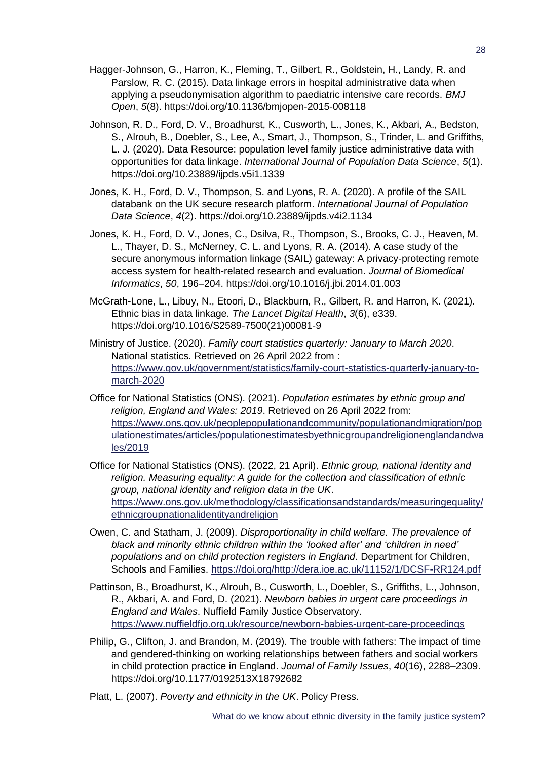- Hagger-Johnson, G., Harron, K., Fleming, T., Gilbert, R., Goldstein, H., Landy, R. and Parslow, R. C. (2015). Data linkage errors in hospital administrative data when applying a pseudonymisation algorithm to paediatric intensive care records. *BMJ Open*, *5*(8). https://doi.org/10.1136/bmjopen-2015-008118
- Johnson, R. D., Ford, D. V., Broadhurst, K., Cusworth, L., Jones, K., Akbari, A., Bedston, S., Alrouh, B., Doebler, S., Lee, A., Smart, J., Thompson, S., Trinder, L. and Griffiths, L. J. (2020). Data Resource: population level family justice administrative data with opportunities for data linkage. *International Journal of Population Data Science*, *5*(1). https://doi.org/10.23889/ijpds.v5i1.1339
- Jones, K. H., Ford, D. V., Thompson, S. and Lyons, R. A. (2020). A profile of the SAIL databank on the UK secure research platform. *International Journal of Population Data Science*, *4*(2). https://doi.org/10.23889/ijpds.v4i2.1134
- Jones, K. H., Ford, D. V., Jones, C., Dsilva, R., Thompson, S., Brooks, C. J., Heaven, M. L., Thayer, D. S., McNerney, C. L. and Lyons, R. A. (2014). A case study of the secure anonymous information linkage (SAIL) gateway: A privacy-protecting remote access system for health-related research and evaluation. *Journal of Biomedical Informatics*, *50*, 196–204. https://doi.org/10.1016/j.jbi.2014.01.003
- McGrath-Lone, L., Libuy, N., Etoori, D., Blackburn, R., Gilbert, R. and Harron, K. (2021). Ethnic bias in data linkage. *The Lancet Digital Health*, *3*(6), e339. https://doi.org/10.1016/S2589-7500(21)00081-9
- Ministry of Justice. (2020). *Family court statistics quarterly: January to March 2020*. National statistics. Retrieved on 26 April 2022 from : [https://www.gov.uk/government/statistics/family-court-statistics-quarterly-january-to](https://www.gov.uk/government/statistics/family-court-statistics-quarterly-january-to-march-2020)[march-2020](https://www.gov.uk/government/statistics/family-court-statistics-quarterly-january-to-march-2020)
- Office for National Statistics (ONS). (2021). *Population estimates by ethnic group and religion, England and Wales: 2019*. Retrieved on 26 April 2022 from: [https://www.ons.gov.uk/peoplepopulationandcommunity/populationandmigration/pop](https://www.ons.gov.uk/peoplepopulationandcommunity/populationandmigration/populationestimates/articles/populationestimatesbyethnicgroupandreligionenglandandwales/2019) [ulationestimates/articles/populationestimatesbyethnicgroupandreligionenglandandwa](https://www.ons.gov.uk/peoplepopulationandcommunity/populationandmigration/populationestimates/articles/populationestimatesbyethnicgroupandreligionenglandandwales/2019) [les/2019](https://www.ons.gov.uk/peoplepopulationandcommunity/populationandmigration/populationestimates/articles/populationestimatesbyethnicgroupandreligionenglandandwales/2019)
- Office for National Statistics (ONS). (2022, 21 April). *Ethnic group, national identity and religion. Measuring equality: A guide for the collection and classification of ethnic group, national identity and religion data in the UK*. [https://www.ons.gov.uk/methodology/classificationsandstandards/measuringequality/](https://www.ons.gov.uk/methodology/classificationsandstandards/measuringequality/ethnicgroupnationalidentityandreligion) [ethnicgroupnationalidentityandreligion](https://www.ons.gov.uk/methodology/classificationsandstandards/measuringequality/ethnicgroupnationalidentityandreligion)
- Owen, C. and Statham, J. (2009). *Disproportionality in child welfare. The prevalence of black and minority ethnic children within the 'looked after' and 'children in need' populations and on child protection registers in England*. Department for Children, Schools and Families. [https://doi.org/http://dera.ioe.ac.uk/11152/1/DCSF-RR124.pdf](https://doi.org/http:/dera.ioe.ac.uk/11152/1/DCSF-RR124.pdf)
- Pattinson, B., Broadhurst, K., Alrouh, B., Cusworth, L., Doebler, S., Griffiths, L., Johnson, R., Akbari, A. and Ford, D. (2021). *Newborn babies in urgent care proceedings in England and Wales*. Nuffield Family Justice Observatory. <https://www.nuffieldfjo.org.uk/resource/newborn-babies-urgent-care-proceedings>
- Philip, G., Clifton, J. and Brandon, M. (2019). The trouble with fathers: The impact of time and gendered-thinking on working relationships between fathers and social workers in child protection practice in England. *Journal of Family Issues*, *40*(16), 2288–2309. https://doi.org/10.1177/0192513X18792682
- Platt, L. (2007). *Poverty and ethnicity in the UK*. Policy Press.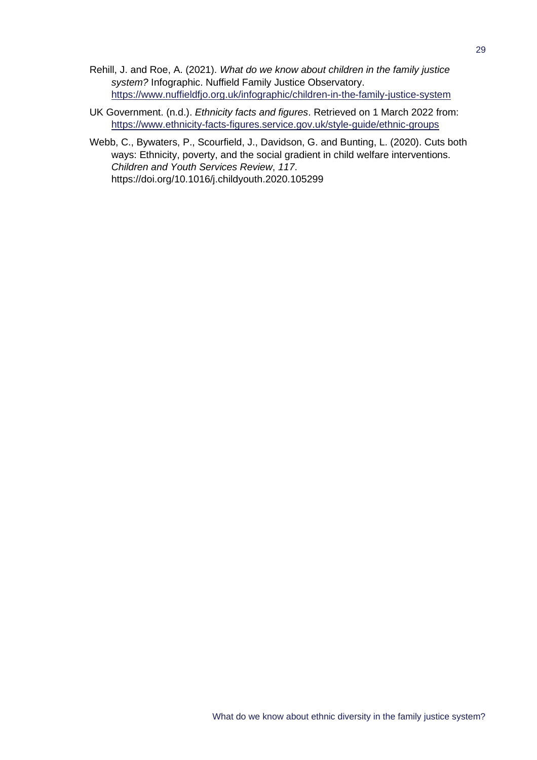- Rehill, J. and Roe, A. (2021). *What do we know about children in the family justice system?* Infographic. Nuffield Family Justice Observatory. <https://www.nuffieldfjo.org.uk/infographic/children-in-the-family-justice-system>
- UK Government. (n.d.). *Ethnicity facts and figures*. Retrieved on 1 March 2022 from: <https://www.ethnicity-facts-figures.service.gov.uk/style-guide/ethnic-groups>
- Webb, C., Bywaters, P., Scourfield, J., Davidson, G. and Bunting, L. (2020). Cuts both ways: Ethnicity, poverty, and the social gradient in child welfare interventions. *Children and Youth Services Review*, *117*. https://doi.org/10.1016/j.childyouth.2020.105299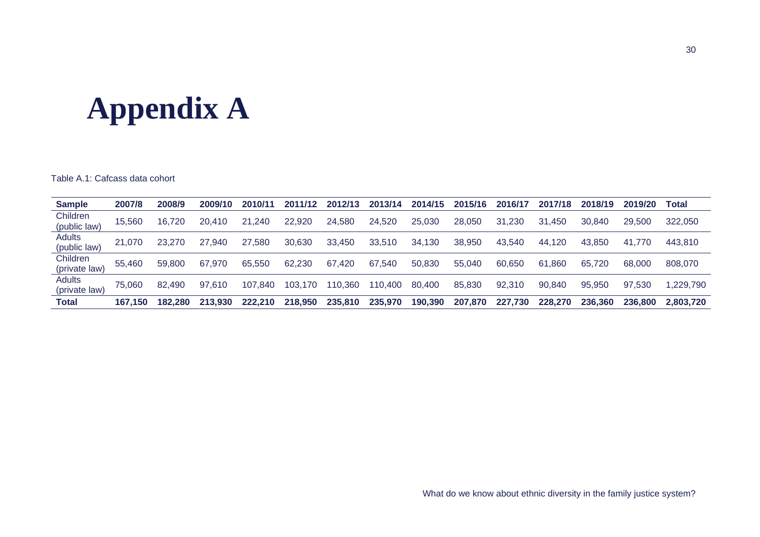## **Appendix A**

Table A.1: Cafcass data cohort

<span id="page-38-0"></span>

| <b>Sample</b>                  | 2007/8  | 2008/9  | 2009/10 | 2010/11 | 2011/12     | 2012/13 | 2013/14 | 2014/15 | 2015/16 | 2016/17 | 2017/18      | 2018/19 | 2019/20 | Total     |
|--------------------------------|---------|---------|---------|---------|-------------|---------|---------|---------|---------|---------|--------------|---------|---------|-----------|
| Children<br>(public law)       | 15.560  | 16.720  | 20.410  | 21.240  | 22,920      | 24,580  | 24,520  | 25,030  | 28.050  | 31.230  | 31.450       | 30.840  | 29,500  | 322,050   |
| Adults<br>(public law)         | 21.070  | 23,270  | 27.940  | 27.580  | 30,630      | 33,450  | 33,510  | 34,130  | 38,950  | 43.540  | .120<br>-44. | 43.850  | 41.770  | 443,810   |
| Children<br>(private law)      | 55.460  | 59,800  | 67.970  | 65,550  | 62,230      | 67,420  | 67,540  | 50,830  | 55,040  | 60,650  | .860<br>61   | 65.720  | 68,000  | 808,070   |
| <b>Adults</b><br>(private law) | 75.060  | 82,490  | 97.610  | 107,840 | 103.<br>170 | 10,360  | 110,400 | 80,400  | 85,830  | 92,310  | 90,840       | 95,950  | 97.530  | ,229,790  |
| <b>Total</b>                   | 167.150 | 182.280 | 213,930 | 222.210 | 218,950     | 235,810 | 235,970 | 190,390 | 207.870 | 227.730 | 228,270      | 236,360 | 236,800 | 2.803.720 |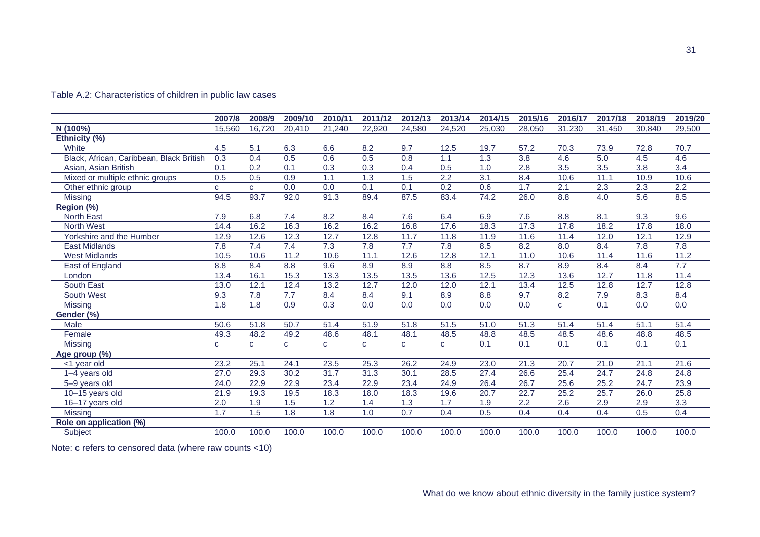|                                          | 2007/8 | 2008/9       | 2009/10      | 2010/11          | 2011/12          | 2012/13      | 2013/14          | 2014/15          | 2015/16          | 2016/17          | 2017/18          | 2018/19          | 2019/20          |
|------------------------------------------|--------|--------------|--------------|------------------|------------------|--------------|------------------|------------------|------------------|------------------|------------------|------------------|------------------|
| N (100%)                                 | 15.560 | 16,720       | 20,410       | 21,240           | 22,920           | 24,580       | 24,520           | 25,030           | 28,050           | 31,230           | 31,450           | 30,840           | 29,500           |
| Ethnicity (%)                            |        |              |              |                  |                  |              |                  |                  |                  |                  |                  |                  |                  |
| White                                    | 4.5    | 5.1          | 6.3          | 6.6              | 8.2              | 9.7          | 12.5             | 19.7             | 57.2             | 70.3             | 73.9             | 72.8             | 70.7             |
| Black, African, Caribbean, Black British | 0.3    | 0.4          | 0.5          | 0.6              | 0.5              | 0.8          | 1.1              | 1.3              | $\overline{3.8}$ | 4.6              | $\overline{5.0}$ | 4.5              | 4.6              |
| Asian, Asian British                     | 0.1    | 0.2          | 0.1          | 0.3              | 0.3              | 0.4          | 0.5              | 1.0              | $\overline{2.8}$ | $\overline{3.5}$ | $\overline{3.5}$ | $\overline{3.8}$ | $\overline{3.4}$ |
| Mixed or multiple ethnic groups          | 0.5    | 0.5          | 0.9          | 1.1              | 1.3              | 1.5          | 2.2              | 3.1              | 8.4              | 10.6             | 11.1             | 10.9             | 10.6             |
| Other ethnic group                       | C      | $\mathbf{C}$ | 0.0          | 0.0              | $\overline{0.1}$ | 0.1          | $\overline{0.2}$ | 0.6              | $\overline{1.7}$ | 2.1              | 2.3              | 2.3              | $\overline{2.2}$ |
| Missing                                  | 94.5   | 93.7         | 92.0         | 91.3             | 89.4             | 87.5         | 83.4             | 74.2             | 26.0             | 8.8              | $\overline{4.0}$ | $\overline{5.6}$ | 8.5              |
| Region (%)                               |        |              |              |                  |                  |              |                  |                  |                  |                  |                  |                  |                  |
| North East                               | 7.9    | 6.8          | 7.4          | 8.2              | 8.4              | 7.6          | 6.4              | 6.9              | 7.6              | 8.8              | 8.1              | 9.3              | 9.6              |
| North West                               | 14.4   | 16.2         | 16.3         | 16.2             | 16.2             | 16.8         | 17.6             | 18.3             | 17.3             | 17.8             | 18.2             | 17.8             | 18.0             |
| Yorkshire and the Humber                 | 12.9   | 12.6         | 12.3         | 12.7             | 12.8             | 11.7         | 11.8             | 11.9             | 11.6             | 11.4             | 12.0             | 12.1             | 12.9             |
| <b>East Midlands</b>                     | 7.8    | 7.4          | 7.4          | $\overline{7.3}$ | 7.8              | 7.7          | 7.8              | 8.5              | 8.2              | 8.0              | 8.4              | 7.8              | 7.8              |
| <b>West Midlands</b>                     | 10.5   | 10.6         | 11.2         | 10.6             | 11.1             | 12.6         | 12.8             | 12.1             | 11.0             | 10.6             | 11.4             | 11.6             | 11.2             |
| East of England                          | 8.8    | 8.4          | 8.8          | 9.6              | 8.9              | 8.9          | 8.8              | 8.5              | 8.7              | 8.9              | 8.4              | 8.4              | 7.7              |
| London                                   | 13.4   | 16.1         | 15.3         | 13.3             | 13.5             | 13.5         | 13.6             | 12.5             | 12.3             | 13.6             | 12.7             | 11.8             | 11.4             |
| South East                               | 13.0   | 12.1         | 12.4         | 13.2             | 12.7             | 12.0         | 12.0             | 12.1             | 13.4             | 12.5             | 12.8             | 12.7             | 12.8             |
| South West                               | 9.3    | 7.8          | 7.7          | 8.4              | 8.4              | 9.1          | 8.9              | 8.8              | 9.7              | 8.2              | 7.9              | 8.3              | 8.4              |
| Missing                                  | 1.8    | 1.8          | 0.9          | 0.3              | 0.0              | 0.0          | 0.0              | 0.0              | 0.0              | $\mathbf{C}$     | 0.1              | 0.0              | 0.0              |
| Gender (%)                               |        |              |              |                  |                  |              |                  |                  |                  |                  |                  |                  |                  |
| Male                                     | 50.6   | 51.8         | 50.7         | 51.4             | 51.9             | 51.8         | 51.5             | 51.0             | 51.3             | 51.4             | 51.4             | 51.1             | 51.4             |
| Female                                   | 49.3   | 48.2         | 49.2         | 48.6             | 48.1             | 48.1         | 48.5             | 48.8             | 48.5             | 48.5             | 48.6             | 48.8             | 48.5             |
| <b>Missing</b>                           | C      | $\mathbf{C}$ | $\mathbf{C}$ | $\mathbf{C}$     | $\mathbf{C}$     | $\mathbf{C}$ | $\mathbf{C}$     | $\overline{0.1}$ | $\overline{0.1}$ | 0.1              | 0.1              | 0.1              | 0.1              |
| Age group (%)                            |        |              |              |                  |                  |              |                  |                  |                  |                  |                  |                  |                  |
| <1 year old                              | 23.2   | 25.1         | 24.1         | 23.5             | 25.3             | 26.2         | 24.9             | 23.0             | 21.3             | 20.7             | 21.0             | 21.1             | 21.6             |
| 1-4 years old                            | 27.0   | 29.3         | 30.2         | 31.7             | 31.3             | 30.1         | 28.5             | 27.4             | 26.6             | 25.4             | 24.7             | 24.8             | 24.8             |
| 5-9 years old                            | 24.0   | 22.9         | 22.9         | 23.4             | 22.9             | 23.4         | 24.9             | 26.4             | 26.7             | 25.6             | 25.2             | 24.7             | 23.9             |
| 10-15 years old                          | 21.9   | 19.3         | 19.5         | 18.3             | 18.0             | 18.3         | 19.6             | 20.7             | 22.7             | 25.2             | 25.7             | 26.0             | 25.8             |
| 16-17 years old                          | 2.0    | 1.9          | 1.5          | 1.2              | 1.4              | 1.3          | 1.7              | 1.9              | 2.2              | 2.6              | 2.9              | 2.9              | $\overline{3.3}$ |
| <b>Missing</b>                           | 1.7    | 1.5          | 1.8          | 1.8              | 1.0              | 0.7          | 0.4              | 0.5              | 0.4              | 0.4              | 0.4              | 0.5              | 0.4              |
| Role on application (%)                  |        |              |              |                  |                  |              |                  |                  |                  |                  |                  |                  |                  |
| Subject                                  | 100.0  | 100.0        | 100.0        | 100.0            | 100.0            | 100.0        | 100.0            | 100.0            | 100.0            | 100.0            | 100.0            | 100.0            | 100.0            |

#### Table A.2: Characteristics of children in public law cases

Note: c refers to censored data (where raw counts <10)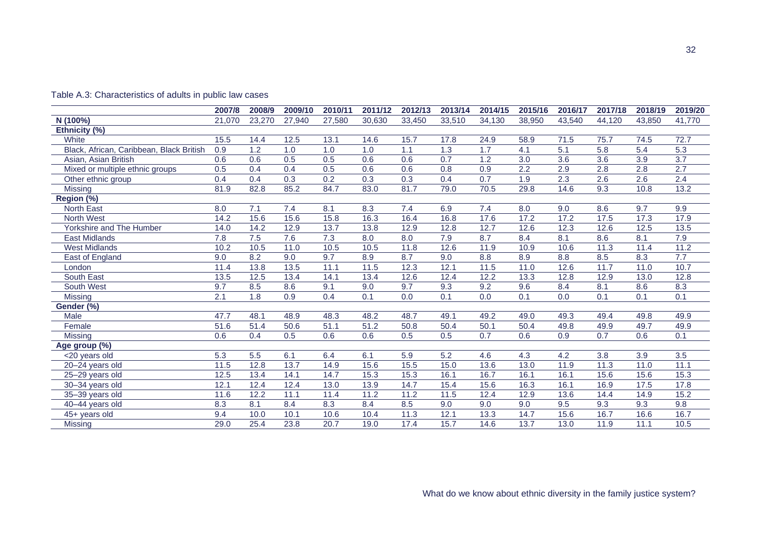|                                          | 2007/8            | 2008/9 | 2009/10 | 2010/11           | 2011/12 | 2012/13 | 2013/14          | 2014/15 | 2015/16          | 2016/17          | 2017/18          | 2018/19          | 2019/20          |
|------------------------------------------|-------------------|--------|---------|-------------------|---------|---------|------------------|---------|------------------|------------------|------------------|------------------|------------------|
| N (100%)                                 | 21,070            | 23,270 | 27,940  | 27,580            | 30,630  | 33,450  | 33,510           | 34,130  | 38,950           | 43,540           | 44,120           | 43.850           | 41,770           |
| Ethnicity (%)                            |                   |        |         |                   |         |         |                  |         |                  |                  |                  |                  |                  |
| White                                    | 15.5              | 14.4   | 12.5    | 13.1              | 14.6    | 15.7    | 17.8             | 24.9    | 58.9             | 71.5             | 75.7             | 74.5             | 72.7             |
| Black, African, Caribbean, Black British | 0.9               | 1.2    | 1.0     | 1.0               | 1.0     | 1.1     | 1.3              | 1.7     | 4.1              | 5.1              | 5.8              | 5.4              | $\overline{5.3}$ |
| Asian, Asian British                     | 0.6               | 0.6    | 0.5     | 0.5               | 0.6     | 0.6     | 0.7              | 1.2     | $\overline{3.0}$ | $\overline{3.6}$ | 3.6              | $\overline{3.9}$ | $\overline{3.7}$ |
| Mixed or multiple ethnic groups          | 0.5               | 0.4    | 0.4     | 0.5               | 0.6     | 0.6     | 0.8              | 0.9     | 2.2              | 2.9              | $\overline{2.8}$ | 2.8              | 2.7              |
| Other ethnic group                       | 0.4               | 0.4    | 0.3     | 0.2               | 0.3     | 0.3     | 0.4              | 0.7     | 1.9              | 2.3              | 2.6              | 2.6              | 2.4              |
| <b>Missing</b>                           | 81.9              | 82.8   | 85.2    | 84.7              | 83.0    | 81.7    | 79.0             | 70.5    | 29.8             | 14.6             | 9.3              | 10.8             | 13.2             |
| Region (%)                               |                   |        |         |                   |         |         |                  |         |                  |                  |                  |                  |                  |
| North East                               | 8.0               | 7.1    | 7.4     | 8.1               | 8.3     | 7.4     | 6.9              | 7.4     | 8.0              | 9.0              | 8.6              | 9.7              | 9.9              |
| <b>North West</b>                        | 14.2              | 15.6   | 15.6    | 15.8              | 16.3    | 16.4    | 16.8             | 17.6    | 17.2             | 17.2             | 17.5             | 17.3             | 17.9             |
| Yorkshire and The Humber                 | 14.0              | 14.2   | 12.9    | 13.7              | 13.8    | 12.9    | 12.8             | 12.7    | 12.6             | 12.3             | 12.6             | 12.5             | 13.5             |
| <b>East Midlands</b>                     | 7.8               | 7.5    | 7.6     | 7.3               | 8.0     | 8.0     | 7.9              | 8.7     | 8.4              | 8.1              | 8.6              | 8.1              | 7.9              |
| <b>West Midlands</b>                     | 10.2              | 10.5   | 11.0    | 10.5              | 10.5    | 11.8    | 12.6             | 11.9    | 10.9             | 10.6             | 11.3             | 11.4             | 11.2             |
| East of England                          | 9.0               | 8.2    | 9.0     | 9.7               | 8.9     | 8.7     | 9.0              | 8.8     | 8.9              | 8.8              | 8.5              | 8.3              | 7.7              |
| London                                   | 11.4              | 13.8   | 13.5    | 11.1              | 11.5    | 12.3    | 12.1             | 11.5    | 11.0             | 12.6             | 11.7             | 11.0             | 10.7             |
| South East                               | 13.5              | 12.5   | 13.4    | 14.1              | 13.4    | 12.6    | 12.4             | 12.2    | 13.3             | 12.8             | 12.9             | 13.0             | 12.8             |
| South West                               | 9.7               | 8.5    | 8.6     | 9.1               | 9.0     | 9.7     | 9.3              | 9.2     | 9.6              | 8.4              | 8.1              | 8.6              | 8.3              |
| Missing                                  | 2.1               | 1.8    | 0.9     | 0.4               | 0.1     | 0.0     | 0.1              | 0.0     | 0.1              | 0.0              | 0.1              | 0.1              | 0.1              |
| Gender (%)                               |                   |        |         |                   |         |         |                  |         |                  |                  |                  |                  |                  |
| Male                                     | 47.7              | 48.1   | 48.9    | 48.3              | 48.2    | 48.7    | 49.1             | 49.2    | 49.0             | 49.3             | 49.4             | 49.8             | 49.9             |
| Female                                   | $\overline{51.6}$ | 51.4   | 50.6    | 51.1              | 51.2    | 50.8    | 50.4             | 50.1    | 50.4             | 49.8             | 49.9             | 49.7             | 49.9             |
| <b>Missing</b>                           | 0.6               | 0.4    | 0.5     | 0.6               | 0.6     | 0.5     | 0.5              | 0.7     | 0.6              | 0.9              | 0.7              | 0.6              | 0.1              |
| Age group (%)                            |                   |        |         |                   |         |         |                  |         |                  |                  |                  |                  |                  |
| <20 years old                            | 5.3               | 5.5    | 6.1     | 6.4               | 6.1     | 5.9     | $\overline{5.2}$ | 4.6     | 4.3              | 4.2              | 3.8              | 3.9              | $\overline{3.5}$ |
| 20-24 years old                          | 11.5              | 12.8   | 13.7    | 14.9              | 15.6    | 15.5    | 15.0             | 13.6    | 13.0             | 11.9             | 11.3             | 11.0             | 11.1             |
| 25-29 years old                          | 12.5              | 13.4   | 14.1    | 14.7              | 15.3    | 15.3    | 16.1             | 16.7    | 16.1             | 16.1             | 15.6             | 15.6             | 15.3             |
| 30-34 years old                          | 12.1              | 12.4   | 12.4    | 13.0              | 13.9    | 14.7    | 15.4             | 15.6    | 16.3             | 16.1             | 16.9             | 17.5             | 17.8             |
| 35-39 years old                          | 11.6              | 12.2   | 11.1    | 11.4              | 11.2    | 11.2    | 11.5             | 12.4    | 12.9             | 13.6             | 14.4             | 14.9             | 15.2             |
| 40-44 years old                          | 8.3               | 8.1    | 8.4     | 8.3               | 8.4     | 8.5     | 9.0              | 9.0     | 9.0              | 9.5              | 9.3              | 9.3              | 9.8              |
| 45+ years old                            | 9.4               | 10.0   | 10.1    | 10.6              | 10.4    | 11.3    | 12.1             | 13.3    | 14.7             | 15.6             | 16.7             | 16.6             | 16.7             |
| Missing                                  | 29.0              | 25.4   | 23.8    | $\overline{20.7}$ | 19.0    | 17.4    | 15.7             | 14.6    | 13.7             | 13.0             | 11.9             | 11.1             | 10.5             |

#### Table A.3: Characteristics of adults in public law cases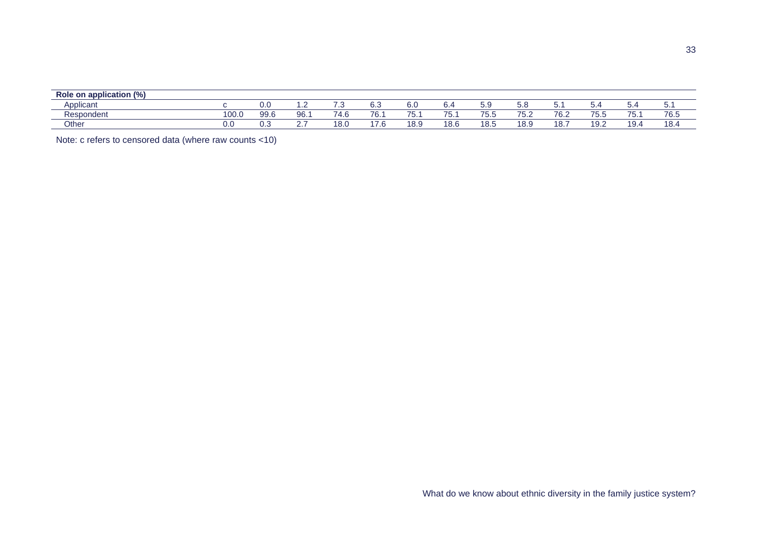| Role on application (%)         |       |      |     |                |                       |                                |                                   |             |                                                  |                     |           |                         |          |
|---------------------------------|-------|------|-----|----------------|-----------------------|--------------------------------|-----------------------------------|-------------|--------------------------------------------------|---------------------|-----------|-------------------------|----------|
| $\sim$<br>Applican <sup>®</sup> |       | v.c  |     |                | $\sim$ $\sim$<br>υ.ა  | ⌒<br>v.u                       | ~<br>$\mathbf{O}$ .               | . с.<br>v.c | J.C                                              | J.                  | .         |                         | . J. .   |
| Respondent                      | 100.0 | 99.6 | 96. | 710<br>(4.6)   | 7C<br>: ס'            | $\overline{\phantom{a}}$<br>J. | $\rightarrow$ $\rightarrow$<br>v. | 75<br>ن. ن  | $\rightarrow$ $\rightarrow$<br>י<br>. . <i>.</i> | $7^{\circ}$<br>70.∠ | --<br>.   | --<br>u.                | 76.5     |
| Other                           | 0.0   | ∪.⊾  | -   | $\sim$<br>IO.U | $\rightarrow$<br>7. O | 1.8 Q<br>∣ ∪.c                 | 18.6                              | 18.5        | 18.9                                             | 10.                 | ۱۵<br>ے ت | 10 <sub>1</sub><br>۰. ت | 18 Z<br> |

Note: c refers to censored data (where raw counts <10)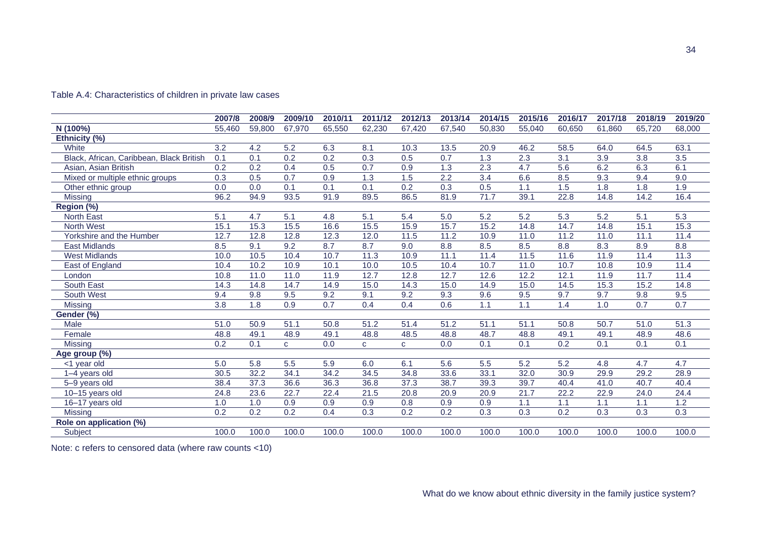| Table A.4: Characteristics of children in private law cases |  |
|-------------------------------------------------------------|--|
|-------------------------------------------------------------|--|

|                                          | 2007/8 | 2008/9           | 2009/10          | 2010/11 | 2011/12      | 2012/13      | 2013/14          | 2014/15 | 2015/16 | 2016/17          | 2017/18 | 2018/19            | 2019/20          |
|------------------------------------------|--------|------------------|------------------|---------|--------------|--------------|------------------|---------|---------|------------------|---------|--------------------|------------------|
| N (100%)                                 | 55,460 | 59,800           | 67,970           | 65,550  | 62,230       | 67,420       | 67,540           | 50,830  | 55,040  | 60,650           | 61,860  | 65,720             | 68,000           |
| Ethnicity (%)                            |        |                  |                  |         |              |              |                  |         |         |                  |         |                    |                  |
| White                                    | 3.2    | 4.2              | 5.2              | 6.3     | 8.1          | 10.3         | 13.5             | 20.9    | 46.2    | 58.5             | 64.0    | 64.5               | 63.1             |
| Black, African, Caribbean, Black British | 0.1    | 0.1              | $\overline{0.2}$ | 0.2     | 0.3          | 0.5          | 0.7              | 1.3     | 2.3     | 3.1              | 3.9     | 3.8                | $\overline{3.5}$ |
| Asian, Asian British                     | 0.2    | $\overline{0.2}$ | 0.4              | 0.5     | 0.7          | 0.9          | $\overline{1.3}$ | 2.3     | 4.7     | $\overline{5.6}$ | 6.2     | 6.3                | 6.1              |
| Mixed or multiple ethnic groups          | 0.3    | 0.5              | $\overline{0.7}$ | 0.9     | 1.3          | 1.5          | $\overline{2.2}$ | 3.4     | 6.6     | 8.5              | 9.3     | 9.4                | 9.0              |
| Other ethnic group                       | 0.0    | 0.0              | 0.1              | 0.1     | 0.1          | 0.2          | 0.3              | 0.5     | 1.1     | 1.5              | 1.8     | 1.8                | 1.9              |
| <b>Missing</b>                           | 96.2   | 94.9             | 93.5             | 91.9    | 89.5         | 86.5         | 81.9             | 71.7    | 39.1    | 22.8             | 14.8    | 14.2               | 16.4             |
| Region (%)                               |        |                  |                  |         |              |              |                  |         |         |                  |         |                    |                  |
| North East                               | 5.1    | 4.7              | 5.1              | 4.8     | 5.1          | 5.4          | 5.0              | 5.2     | 5.2     | 5.3              | 5.2     | 5.1                | 5.3              |
| North West                               | 15.1   | 15.3             | 15.5             | 16.6    | 15.5         | 15.9         | 15.7             | 15.2    | 14.8    | 14.7             | 14.8    | 15.1               | 15.3             |
| Yorkshire and the Humber                 | 12.7   | 12.8             | 12.8             | 12.3    | 12.0         | 11.5         | 11.2             | 10.9    | 11.0    | 11.2             | 11.0    | 11.1               | 11.4             |
| <b>East Midlands</b>                     | 8.5    | 9.1              | 9.2              | 8.7     | 8.7          | 9.0          | 8.8              | 8.5     | 8.5     | 8.8              | 8.3     | 8.9                | 8.8              |
| <b>West Midlands</b>                     | 10.0   | 10.5             | 10.4             | 10.7    | 11.3         | 10.9         | 11.1             | 11.4    | 11.5    | 11.6             | 11.9    | 11.4               | 11.3             |
| East of England                          | 10.4   | 10.2             | 10.9             | 10.1    | 10.0         | 10.5         | 10.4             | 10.7    | 11.0    | 10.7             | 10.8    | 10.9               | 11.4             |
| London                                   | 10.8   | 11.0             | 11.0             | 11.9    | 12.7         | 12.8         | 12.7             | 12.6    | 12.2    | 12.1             | 11.9    | 11.7               | 11.4             |
| South East                               | 14.3   | 14.8             | 14.7             | 14.9    | 15.0         | 14.3         | 15.0             | 14.9    | 15.0    | 14.5             | 15.3    | 15.2               | 14.8             |
| South West                               | 9.4    | 9.8              | 9.5              | 9.2     | 9.1          | 9.2          | 9.3              | 9.6     | 9.5     | 9.7              | 9.7     | 9.8                | 9.5              |
| <b>Missing</b>                           | 3.8    | 1.8              | $\overline{0.9}$ | 0.7     | 0.4          | 0.4          | 0.6              | 1.1     | 1.1     | 1.4              | 1.0     | 0.7                | 0.7              |
| Gender (%)                               |        |                  |                  |         |              |              |                  |         |         |                  |         |                    |                  |
| Male                                     | 51.0   | 50.9             | 51.1             | 50.8    | 51.2         | 51.4         | 51.2             | 51.1    | 51.1    | 50.8             | 50.7    | 51.0               | 51.3             |
| Female                                   | 48.8   | 49.1             | 48.9             | 49.1    | 48.8         | 48.5         | 48.8             | 48.7    | 48.8    | 49.1             | 49.1    | 48.9               | 48.6             |
| Missing                                  | 0.2    | 0.1              | $\mathbf{C}$     | 0.0     | $\mathbf{C}$ | $\mathbf{C}$ | 0.0              | 0.1     | 0.1     | 0.2              | 0.1     | 0.1                | 0.1              |
| Age group (%)                            |        |                  |                  |         |              |              |                  |         |         |                  |         |                    |                  |
| <1 year old                              | 5.0    | 5.8              | 5.5              | 5.9     | 6.0          | 6.1          | 5.6              | 5.5     | 5.2     | 5.2              | 4.8     | 4.7                | 4.7              |
| 1-4 years old                            | 30.5   | 32.2             | 34.1             | 34.2    | 34.5         | 34.8         | 33.6             | 33.1    | 32.0    | 30.9             | 29.9    | 29.2               | 28.9             |
| 5-9 years old                            | 38.4   | 37.3             | 36.6             | 36.3    | 36.8         | 37.3         | 38.7             | 39.3    | 39.7    | 40.4             | 41.0    | 40.7               | 40.4             |
| 10-15 years old                          | 24.8   | 23.6             | 22.7             | 22.4    | 21.5         | 20.8         | 20.9             | 20.9    | 21.7    | 22.2             | 22.9    | 24.0               | 24.4             |
| 16-17 years old                          | 1.0    | 1.0              | 0.9              | 0.9     | 0.9          | 0.8          | 0.9              | 0.9     | 1.1     | 1.1              | 1.1     | 1.1                | 1.2              |
| <b>Missing</b>                           | 0.2    | 0.2              | 0.2              | 0.4     | 0.3          | 0.2          | 0.2              | 0.3     | 0.3     | 0.2              | 0.3     | 0.3                | 0.3              |
| Role on application (%)                  |        |                  |                  |         |              |              |                  |         |         |                  |         |                    |                  |
| Subject                                  | 100.0  | 100.0            | 100.0            | 100.0   | 100.0        | 100.0        | 100.0            | 100.0   | 100.0   | 100.0            | 100.0   | $\overline{100.0}$ | 100.0            |

Note: c refers to censored data (where raw counts <10)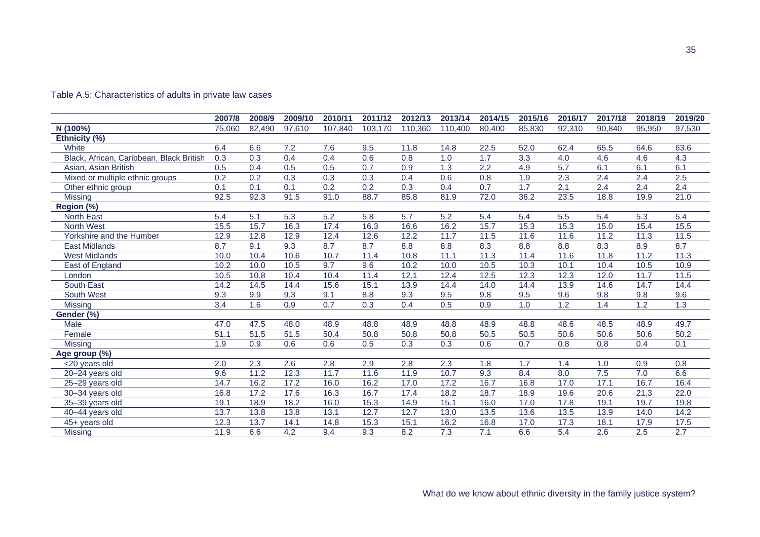|                                          | 2007/8           | 2008/9           | 2009/10          | 2010/11          | 2011/12          | 2012/13          | 2013/14          | 2014/15          | 2015/16          | 2016/17          | 2017/18          | 2018/19          | 2019/20          |
|------------------------------------------|------------------|------------------|------------------|------------------|------------------|------------------|------------------|------------------|------------------|------------------|------------------|------------------|------------------|
| N (100%)                                 | 75,060           | 82,490           | 97,610           | 107,840          | 103,170          | 110,360          | 110,400          | 80,400           | 85,830           | 92,310           | 90,840           | 95.950           | 97,530           |
| Ethnicity (%)                            |                  |                  |                  |                  |                  |                  |                  |                  |                  |                  |                  |                  |                  |
| White                                    | 6.4              | 6.6              | 7.2              | 7.6              | 9.5              | 11.8             | 14.8             | 22.5             | 52.0             | 62.4             | 65.5             | 64.6             | 63.6             |
| Black, African, Caribbean, Black British | 0.3              | $\overline{0.3}$ | 0.4              | 0.4              | 0.6              | 0.8              | 1.0              | 1.7              | $\overline{3.3}$ | 4.0              | 4.6              | 4.6              | 4.3              |
| Asian, Asian British                     | 0.5              | 0.4              | 0.5              | 0.5              | 0.7              | 0.9              | 1.3              | 2.2              | 4.9              | $\overline{5.7}$ | 6.1              | 6.1              | 6.1              |
| Mixed or multiple ethnic groups          | 0.2              | 0.2              | 0.3              | 0.3              | 0.3              | 0.4              | 0.6              | 0.8              | 1.9              | 2.3              | 2.4              | 2.4              | 2.5              |
| Other ethnic group                       | 0.1              | 0.1              | 0.1              | $\overline{0.2}$ | $\overline{0.2}$ | $\overline{0.3}$ | 0.4              | 0.7              | 1.7              | 2.1              | $\overline{2.4}$ | 2.4              | $\overline{2.4}$ |
| Missing                                  | 92.5             | 92.3             | 91.5             | 91.0             | 88.7             | 85.8             | 81.9             | 72.0             | 36.2             | 23.5             | 18.8             | 19.9             | 21.0             |
| Region (%)                               |                  |                  |                  |                  |                  |                  |                  |                  |                  |                  |                  |                  |                  |
| <b>North East</b>                        | 5.4              | 5.1              | 5.3              | 5.2              | 5.8              | 5.7              | 5.2              | 5.4              | 5.4              | 5.5              | 5.4              | 5.3              | 5.4              |
| <b>North West</b>                        | 15.5             | 15.7             | 16.3             | 17.4             | 16.3             | 16.6             | 16.2             | 15.7             | 15.3             | 15.3             | 15.0             | 15.4             | 15.5             |
| Yorkshire and the Humber                 | 12.9             | 12.8             | 12.9             | 12.4             | 12.6             | 12.2             | 11.7             | 11.5             | $\frac{11.6}{x}$ | 11.6             | 11.2             | 11.3             | 11.5             |
| <b>East Midlands</b>                     | 8.7              | 9.1              | 9.3              | 8.7              | 8.7              | 8.8              | 8.8              | 8.3              | 8.8              | 8.8              | 8.3              | 8.9              | 8.7              |
| <b>West Midlands</b>                     | 10.0             | 10.4             | 10.6             | 10.7             | 11.4             | 10.8             | 11.1             | 11.3             | 11.4             | 11.6             | 11.8             | 11.2             | 11.3             |
| East of England                          | 10.2             | 10.0             | 10.5             | 9.7              | 9.6              | 10.2             | 10.0             | 10.5             | 10.3             | 10.1             | 10.4             | 10.5             | 10.9             |
| London                                   | 10.5             | 10.8             | 10.4             | 10.4             | 11.4             | 12.1             | 12.4             | 12.5             | 12.3             | 12.3             | 12.0             | 11.7             | $\frac{11.5}{2}$ |
| South East                               | 14.2             | 14.5             | 14.4             | $\frac{15.6}{ }$ | 15.1             | 13.9             | 14.4             | 14.0             | 14.4             | 13.9             | 14.6             | 14.7             | 14.4             |
| South West                               | 9.3              | 9.9              | 9.3              | 9.1              | 8.8              | 9.3              | 9.5              | 9.8              | 9.5              | 9.6              | 9.8              | 9.8              | 9.6              |
| <b>Missing</b>                           | $\overline{3.4}$ | 1.6              | $\overline{0.9}$ | 0.7              | 0.3              | 0.4              | 0.5              | $\overline{0.9}$ | 1.0              | 1.2              | 1.4              | $\overline{1.2}$ | 1.3              |
| Gender (%)                               |                  |                  |                  |                  |                  |                  |                  |                  |                  |                  |                  |                  |                  |
| Male                                     | 47.0             | 47.5             | 48.0             | 48.9             | 48.8             | 48.9             | 48.8             | 48.9             | 48.8             | 48.6             | 48.5             | 48.9             | 49.7             |
| Female                                   | 51.1             | 51.5             | 51.5             | 50.4             | 50.8             | 50.8             | 50.8             | 50.5             | 50.5             | 50.6             | 50.6             | 50.6             | 50.2             |
| Missing                                  | 1.9              | $\overline{0.9}$ | 0.6              | 0.6              | 0.5              | $\overline{0.3}$ | $\overline{0.3}$ | 0.6              | 0.7              | 0.8              | 0.8              | 0.4              | 0.1              |
| Age group (%)                            |                  |                  |                  |                  |                  |                  |                  |                  |                  |                  |                  |                  |                  |
| <20 years old                            | 2.0              | 2.3              | 2.6              | 2.8              | 2.9              | 2.8              | 2.3              | 1.8              | 1.7              | 1.4              | 1.0              | 0.9              | 0.8              |
| 20-24 years old                          | 9.6              | 11.2             | 12.3             | 11.7             | 11.6             | 11.9             | 10.7             | 9.3              | 8.4              | 8.0              | 7.5              | 7.0              | 6.6              |
| 25-29 years old                          | 14.7             | 16.2             | 17.2             | 16.0             | 16.2             | 17.0             | 17.2             | 16.7             | 16.8             | 17.0             | 17.1             | 16.7             | 16.4             |
| 30-34 years old                          | 16.8             | 17.2             | 17.6             | 16.3             | 16.7             | 17.4             | 18.2             | 18.7             | 18.9             | 19.6             | 20.6             | 21.3             | 22.0             |
| 35-39 years old                          | 19.1             | 18.9             | 18.2             | 16.0             | 15.3             | 14.9             | 15.1             | 16.0             | 17.0             | 17.8             | 19.1             | 19.7             | 19.8             |
| 40-44 years old                          | 13.7             | 13.8             | 13.8             | 13.1             | 12.7             | 12.7             | 13.0             | 13.5             | 13.6             | 13.5             | 13.9             | 14.0             | 14.2             |
| 45+ years old                            | 12.3             | 13.7             | 14.1             | 14.8             | 15.3             | 15.1             | 16.2             | 16.8             | 17.0             | 17.3             | 18.1             | 17.9             | 17.5             |
| Missing                                  | 11.9             | 6.6              | 4.2              | 9.4              | 9.3              | 8.2              | 7.3              | 7.1              | 6.6              | $\overline{5.4}$ | 2.6              | 2.5              | $\overline{2.7}$ |

#### Table A.5: Characteristics of adults in private law cases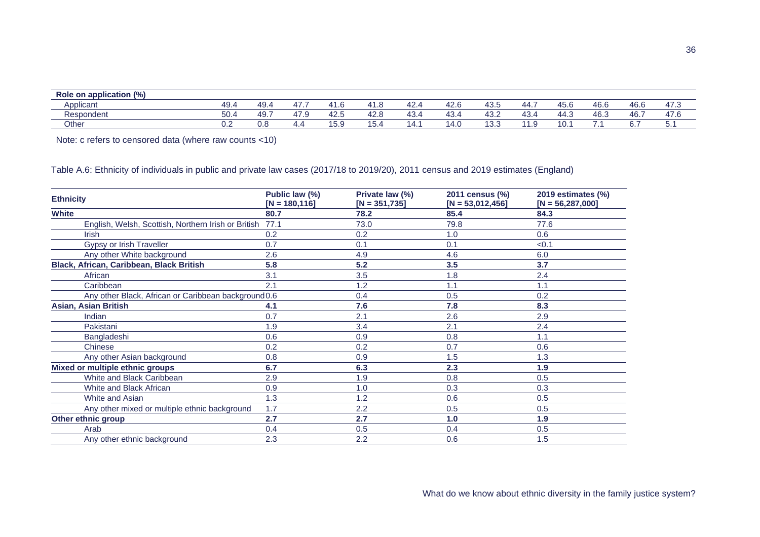| $\cdots$<br>Role on application (%) |      |           |                                |                |                |                   |                |       |                 |      |                |      |                         |
|-------------------------------------|------|-----------|--------------------------------|----------------|----------------|-------------------|----------------|-------|-----------------|------|----------------|------|-------------------------|
| Applicant                           | 49.  | 49<br>rv. | $\overline{\phantom{0}}$<br>47 |                | .              | $\sim$<br>42.     | $\sim$<br>42.0 | 43.ບ  | 44              | 45.U | $\sim$<br>46.U | 46.6 | $\rightarrow$<br>ن. / + |
| Respondent                          | 50.4 | -49.      | 1 –<br>47<br>יי ד              | $\sim$<br>42.J | $\sim$<br>42.c | $\sqrt{2}$<br>43. | 43.            | 43.2  | $\sim$<br>40.5. | 44.J | $\sim$<br>46.∪ | 46.  | 47.0                    |
| Other                               | ∪.∠  | v.c       | 4.4                            | ้<br>ی. ب ۱    | .o.            | 14.1              | 14.U           | ں.ں ا | .               | ΙU.  | .              | ັ.   | .                       |

Note: c refers to censored data (where raw counts <10)

Table A.6: Ethnicity of individuals in public and private law cases (2017/18 to 2019/20), 2011 census and 2019 estimates (England)

| <b>Ethnicity</b>                                     | Public law (%)<br>$[N = 180, 116]$ | Private law (%)<br>$[N = 351, 735]$ | 2011 census (%)<br>$[N = 53,012,456]$ | 2019 estimates (%)<br>$[N = 56, 287, 000]$ |
|------------------------------------------------------|------------------------------------|-------------------------------------|---------------------------------------|--------------------------------------------|
| <b>White</b>                                         | 80.7                               | 78.2                                | 85.4                                  | 84.3                                       |
| English, Welsh, Scottish, Northern Irish or British  | 77.1                               | 73.0                                | 79.8                                  | 77.6                                       |
| <b>Irish</b>                                         | 0.2                                | 0.2                                 | 1.0                                   | 0.6                                        |
| Gypsy or Irish Traveller                             | 0.7                                | 0.1                                 | 0.1                                   | < 0.1                                      |
| Any other White background                           | 2.6                                | 4.9                                 | 4.6                                   | 6.0                                        |
| Black, African, Caribbean, Black British             | 5.8                                | 5.2                                 | 3.5                                   | 3.7                                        |
| African                                              | 3.1                                | 3.5                                 | 1.8                                   | 2.4                                        |
| Caribbean                                            | 2.1                                | 1.2                                 | 1.1                                   | 1.1                                        |
| Any other Black, African or Caribbean background 0.6 |                                    | 0.4                                 | 0.5                                   | 0.2                                        |
| <b>Asian, Asian British</b>                          | 4.1                                | 7.6                                 | 7.8                                   | 8.3                                        |
| Indian                                               | 0.7                                | 2.1                                 | 2.6                                   | 2.9                                        |
| Pakistani                                            | 1.9                                | 3.4                                 | 2.1                                   | 2.4                                        |
| Bangladeshi                                          | 0.6                                | 0.9                                 | 0.8                                   | 1.1                                        |
| Chinese                                              | 0.2                                | 0.2                                 | 0.7                                   | 0.6                                        |
| Any other Asian background                           | 0.8                                | 0.9                                 | 1.5                                   | 1.3                                        |
| Mixed or multiple ethnic groups                      | 6.7                                | 6.3                                 | 2.3                                   | 1.9                                        |
| White and Black Caribbean                            | 2.9                                | 1.9                                 | 0.8                                   | 0.5                                        |
| White and Black African                              | 0.9                                | 1.0                                 | 0.3                                   | 0.3                                        |
| White and Asian                                      | 1.3                                | 1.2                                 | 0.6                                   | 0.5                                        |
| Any other mixed or multiple ethnic background        | 1.7                                | 2.2                                 | 0.5                                   | 0.5                                        |
| Other ethnic group                                   | 2.7                                | 2.7                                 | 1.0                                   | 1.9                                        |
| Arab                                                 | 0.4                                | 0.5                                 | 0.4                                   | 0.5                                        |
| Any other ethnic background                          | 2.3                                | 2.2                                 | 0.6                                   | 1.5                                        |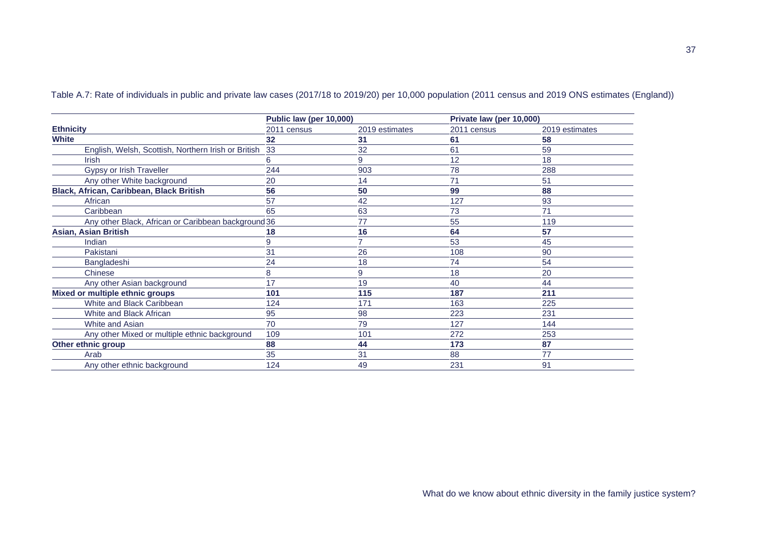|                                                     | Public law (per 10,000) |                | Private law (per 10,000) |                |  |  |
|-----------------------------------------------------|-------------------------|----------------|--------------------------|----------------|--|--|
| <b>Ethnicity</b>                                    | 2011 census             | 2019 estimates | 2011 census              | 2019 estimates |  |  |
| <b>White</b>                                        | 32                      | 31             | 61                       | 58             |  |  |
| English, Welsh, Scottish, Northern Irish or British | 33                      | 32             | 61                       | 59             |  |  |
| <b>Irish</b>                                        | 6                       | 9              | 12                       | 18             |  |  |
| Gypsy or Irish Traveller                            | 244                     | 903            | 78                       | 288            |  |  |
| Any other White background                          | 20                      | 14             | 71                       | 51             |  |  |
| Black, African, Caribbean, Black British            | 56                      | 50             | 99                       | 88             |  |  |
| African                                             | 57                      | 42             | 127                      | 93             |  |  |
| Caribbean                                           | 65                      | 63             | 73                       | 71             |  |  |
| Any other Black, African or Caribbean background 36 |                         | 77             | 55                       | 119            |  |  |
| <b>Asian, Asian British</b>                         | 18                      | 16             | 64                       | 57             |  |  |
| Indian                                              | 9                       |                | 53                       | 45             |  |  |
| Pakistani                                           | 31                      | 26             | 108                      | 90             |  |  |
| Bangladeshi                                         | 24                      | 18             | 74                       | 54             |  |  |
| Chinese                                             | 8                       | 9              | 18                       | 20             |  |  |
| Any other Asian background                          | 17                      | 19             | 40                       | 44             |  |  |
| Mixed or multiple ethnic groups                     | 101                     | 115            | 187                      | 211            |  |  |
| White and Black Caribbean                           | 124                     | 171            | 163                      | 225            |  |  |
| White and Black African                             | 95                      | 98             | 223                      | 231            |  |  |
| White and Asian                                     | 70                      | 79             | 127                      | 144            |  |  |
| Any other Mixed or multiple ethnic background       | 109                     | 101            | 272                      | 253            |  |  |
| Other ethnic group                                  | 88                      | 44             | 173                      | 87             |  |  |
| Arab                                                | 35                      | 31             | 88                       | 77             |  |  |
| Any other ethnic background                         | 124                     | 49             | 231                      | 91             |  |  |

Table A.7: Rate of individuals in public and private law cases (2017/18 to 2019/20) per 10,000 population (2011 census and 2019 ONS estimates (England))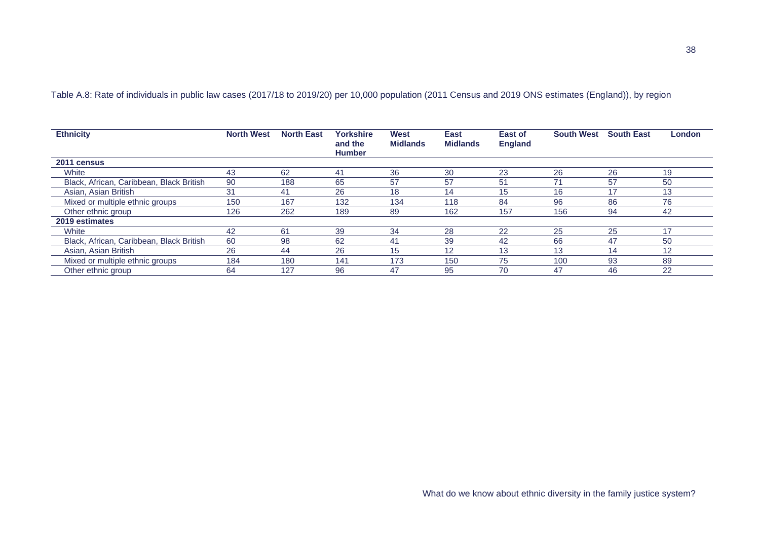| Table A.8: Rate of individuals in public law cases (2017/18 to 2019/20) per 10,000 population (2011 Census and 2019 ONS estimates (England)), by region |  |  |  |  |
|---------------------------------------------------------------------------------------------------------------------------------------------------------|--|--|--|--|
|---------------------------------------------------------------------------------------------------------------------------------------------------------|--|--|--|--|

| <b>Ethnicity</b>                         | <b>North West</b> | <b>North East</b> | <b>Yorkshire</b><br>and the<br><b>Humber</b> | West<br><b>Midlands</b> | East<br><b>Midlands</b> | East of<br><b>England</b> | <b>South West</b> | <b>South East</b> | London |
|------------------------------------------|-------------------|-------------------|----------------------------------------------|-------------------------|-------------------------|---------------------------|-------------------|-------------------|--------|
| 2011 census                              |                   |                   |                                              |                         |                         |                           |                   |                   |        |
| White                                    | 43                | 62                | 4 <sup>1</sup>                               | 36                      | 30                      | 23                        | 26                | 26                | 19     |
| Black, African, Caribbean, Black British | 90                | 188               | 65                                           | 57                      | 57                      | 51                        |                   | 57                | 50     |
| Asian, Asian British                     | 31                | 41                | 26                                           | 18                      | 14                      | 15                        | 16                | 17                | 13     |
| Mixed or multiple ethnic groups          | 150               | 167               | 132                                          | 134                     | 118                     | 84                        | 96                | 86                | 76     |
| Other ethnic group                       | 126               | 262               | 189                                          | 89                      | 162                     | 157                       | 156               | 94                | 42     |
| 2019 estimates                           |                   |                   |                                              |                         |                         |                           |                   |                   |        |
| White                                    | 42                | 61                | 39                                           | 34                      | 28                      | 22                        | 25                | 25                | 17     |
| Black, African, Caribbean, Black British | 60                | 98                | 62                                           | 41                      | 39                      | 42                        | 66                | 47                | 50     |
| Asian, Asian British                     | 26                | 44                | 26                                           | 15                      | 12                      | 13                        | 13                | 14                | 12     |
| Mixed or multiple ethnic groups          | 184               | 180               | 141                                          | 173                     | 150                     | 75                        | 100               | 93                | 89     |
| Other ethnic group                       | 64                | 127               | 96                                           | 47                      | 95                      | 70                        | 47                | 46                | 22     |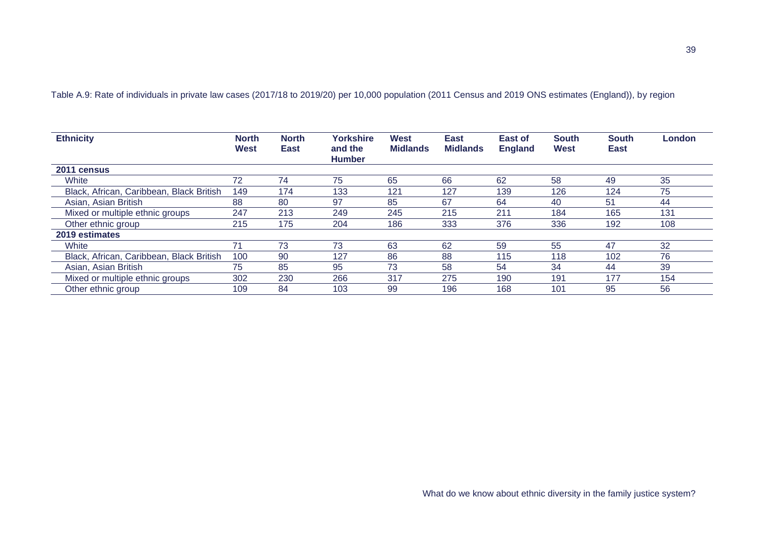Table A.9: Rate of individuals in private law cases (2017/18 to 2019/20) per 10,000 population (2011 Census and 2019 ONS estimates (England)), by region

| <b>Ethnicity</b>                         | <b>North</b><br><b>West</b> | <b>North</b><br><b>East</b> | <b>Yorkshire</b><br>and the<br><b>Humber</b> | West<br><b>Midlands</b> | East<br><b>Midlands</b> | East of<br><b>England</b> | <b>South</b><br><b>West</b> | <b>South</b><br>East | London |
|------------------------------------------|-----------------------------|-----------------------------|----------------------------------------------|-------------------------|-------------------------|---------------------------|-----------------------------|----------------------|--------|
| 2011 census                              |                             |                             |                                              |                         |                         |                           |                             |                      |        |
| White                                    | 72                          | 74                          | 75                                           | 65                      | 66                      | 62                        | 58                          | 49                   | 35     |
| Black, African, Caribbean, Black British | 149                         | 174                         | 133                                          | 121                     | 127                     | 139                       | 126                         | 124                  | 75     |
| Asian, Asian British                     | 88                          | 80                          | 97                                           | 85                      | 67                      | 64                        | 40                          | 51                   | 44     |
| Mixed or multiple ethnic groups          | 247                         | 213                         | 249                                          | 245                     | 215                     | 211                       | 184                         | 165                  | 131    |
| Other ethnic group                       | 215                         | 175                         | 204                                          | 186                     | 333                     | 376                       | 336                         | 192                  | 108    |
| 2019 estimates                           |                             |                             |                                              |                         |                         |                           |                             |                      |        |
| White                                    | 71                          | 73                          | 73                                           | 63                      | 62                      | 59                        | 55                          | 47                   | 32     |
| Black, African, Caribbean, Black British | 100                         | 90                          | 127                                          | 86                      | 88                      | 115                       | 118                         | 102                  | 76     |
| Asian, Asian British                     | 75                          | 85                          | 95                                           | 73                      | 58                      | 54                        | 34                          | 44                   | 39     |
| Mixed or multiple ethnic groups          | 302                         | 230                         | 266                                          | 317                     | 275                     | 190                       | 191                         | 177                  | 154    |
| Other ethnic group                       | 109                         | 84                          | 103                                          | 99                      | 196                     | 168                       | 101                         | 95                   | 56     |